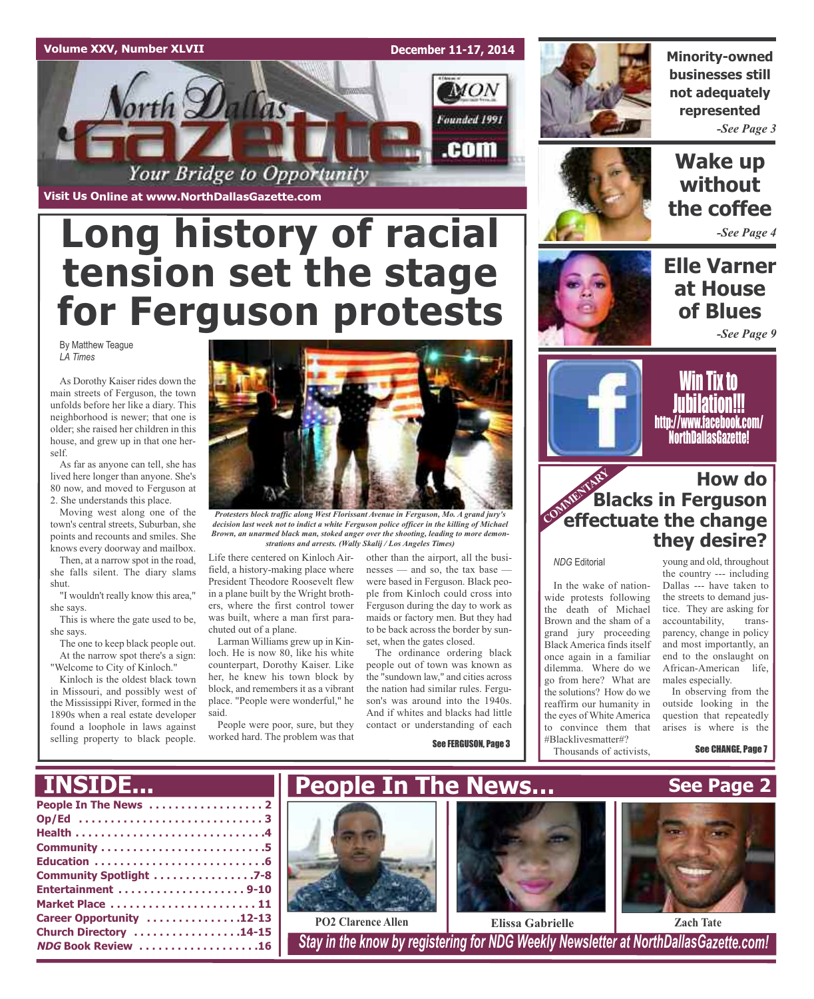#### **Volume XXV, Number XLVII**

**December 11-17, 2014**

**MON** 

Founded 1991

.com



**Minority-owned businesses still not adequately represented** *-See Page 3*

**Wake up without the coffee**

*-See Page 4*

## **Elle Varner at House of Blues**

*-See Page 9*



<u>Will tix to</u> Jubilation!!! http://www.facebook.com/ NorthDallasGazette!

### **COMMENTARY How do Blacks in Ferguson effectuate the change they desire?**

*NDG* Editorial

In the wake of nationwide protests following the death of Michael Brown and the sham of a grand jury proceeding Black America finds itself once again in a familiar dilemma. Where do we go from here? What are the solutions? How do we reaffirm our humanity in the eyes of White America to convince them that #Blacklivesmatter#? Thousands of activists,

young and old, throughout the country --- including Dallas --- have taken to the streets to demand justice. They are asking for accountability, transparency, change in policy and most importantly, an end to the onslaught on African-American life, males especially.

In observing from the outside looking in the question that repeatedly arises is where is the

See CHANGE, Page 7

**Long history of racial tension set the stage for Ferguson protests**

Your Bridge to Opportunity

**Visit Us Online at www.NorthDallasGazette.com**

orth Dallas

By Matthew Teague *LA Times*

As Dorothy Kaiser rides down the main streets of Ferguson, the town unfolds before her like a diary. This neighborhood is newer; that one is older; she raised her children in this house, and grew up in that one herself.

As far as anyone can tell, she has lived here longer than anyone. She's 80 now, and moved to Ferguson at 2. She understands this place.

Moving west along one of the town's central streets, Suburban, she points and recounts and smiles. She knows every doorway and mailbox.

Then, at a narrow spot in the road, she falls silent. The diary slams shut.

"I wouldn't really know this area," she says.

This is where the gate used to be, she says.

The one to keep black people out. At the narrow spot there's a sign: "Welcome to City of Kinloch."

Kinloch is the oldest black town in Missouri, and possibly west of the Mississippi River, formed in the 1890s when a real estate developer found a loophole in laws against selling property to black people.



*Protesters block traffic along West Florissant Avenue in Ferguson, Mo. A grand jury's decision last week not to indict a white Ferguson police officer in the killing of Michael Brown, an unarmed black man, stoked anger over the shooting, leading to more demonstrations and arrests. (Wally Skalij / Los Angeles Times)*

Life there centered on Kinloch Airfield, a history-making place where President Theodore Roosevelt flew in a plane built by the Wright brothers, where the first control tower was built, where a man first parachuted out of a plane.

Larman Williams grew up in Kinloch. He is now 80, like his white counterpart, Dorothy Kaiser. Like her, he knew his town block by block, and remembers it as a vibrant place. "People were wonderful," he said.

People were poor, sure, but they worked hard. The problem was that other than the airport, all the businesses — and so, the tax base were based in Ferguson. Black people from Kinloch could cross into Ferguson during the day to work as maids or factory men. But they had to be back across the border by sunset, when the gates closed.

The ordinance ordering black people out of town was known as the "sundown law," and cities across the nation had similar rules. Ferguson's was around into the 1940s. And if whites and blacks had little contact or understanding of each

See FERGUSON, Page 3



**NDG Book Review . . . . . . . . . . . . . . . . . . .16** *Stay in the know by registering for NDG Weekly Newsletter at NorthDallasGazette.com!*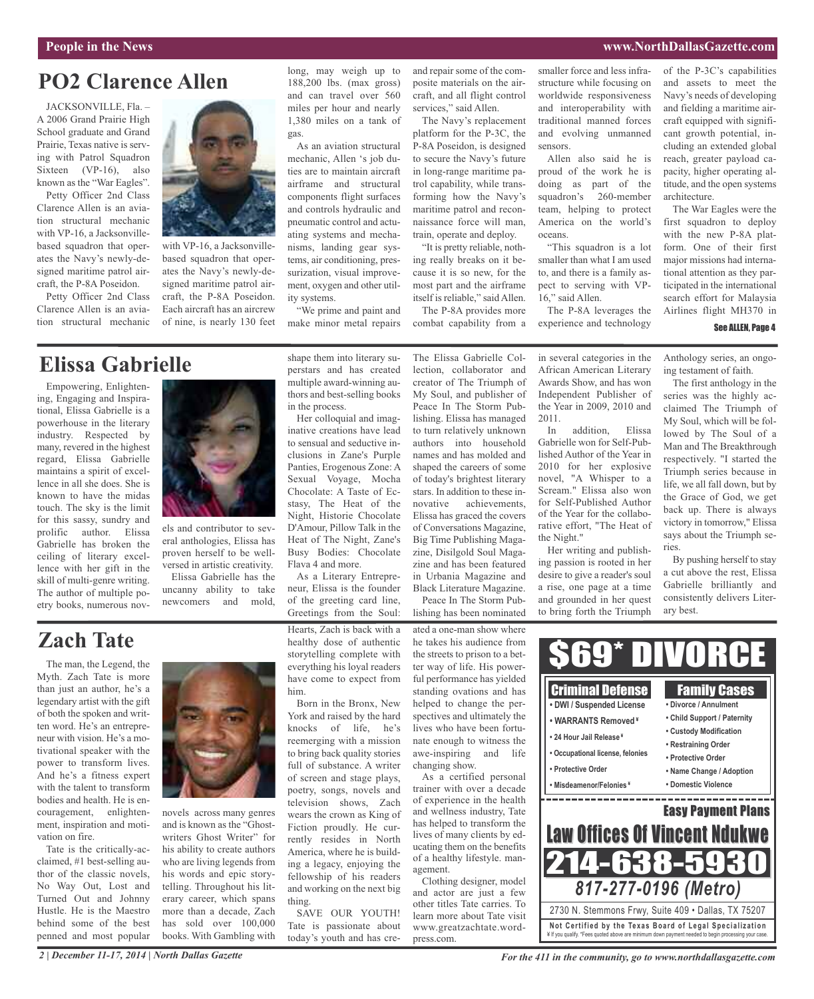#### **People in the News www.NorthDallasGazette.com**

## **PO2 Clarence Allen**

JACKSONVILLE, Fla. – A 2006 Grand Prairie High School graduate and Grand Prairie, Texas native is serving with Patrol Squadron Sixteen (VP-16), also known as the "War Eagles".

Petty Officer 2nd Class Clarence Allen is an aviation structural mechanic with VP-16, a Jacksonvillebased squadron that operates the Navy's newly-designed maritime patrol aircraft, the P-8A Poseidon.

Petty Officer 2nd Class Clarence Allen is an aviation structural mechanic



with VP-16, a Jacksonvillebased squadron that operates the Navy's newly-designed maritime patrol aircraft, the P-8A Poseidon. Each aircraft has an aircrew of nine, is nearly 130 feet long, may weigh up to 188,200 lbs. (max gross) and can travel over 560 miles per hour and nearly 1,380 miles on a tank of gas.

As an aviation structural mechanic, Allen 's job duties are to maintain aircraft airframe and structural components flight surfaces and controls hydraulic and pneumatic control and actuating systems and mechanisms, landing gear systems, air conditioning, pressurization, visual improvement, oxygen and other utility systems.

"We prime and paint and make minor metal repairs and repair some of the composite materials on the aircraft, and all flight control services," said Allen.

The Navy's replacement platform for the P-3C, the P-8A Poseidon, is designed to secure the Navy's future in long-range maritime patrol capability, while transforming how the Navy's maritime patrol and reconnaissance force will man, train, operate and deploy.

"It is pretty reliable, nothing really breaks on it because it is so new, for the most part and the airframe itself is reliable," said Allen.

The P-8A provides more combat capability from a smaller force and less infrastructure while focusing on worldwide responsiveness and interoperability with traditional manned forces and evolving unmanned sensors.

Allen also said he is proud of the work he is doing as part of the squadron's 260-member team, helping to protect America on the world's oceans.

"This squadron is a lot smaller than what I am used to, and there is a family aspect to serving with VP-16," said Allen.

The P-8A leverages the experience and technology

of the P-3C's capabilities and assets to meet the Navy's needs of developing and fielding a maritime aircraft equipped with significant growth potential, including an extended global reach, greater payload capacity, higher operating altitude, and the open systems architecture.

The War Eagles were the first squadron to deploy with the new P-8A platform. One of their first major missions had international attention as they participated in the international search effort for Malaysia Airlines flight MH370 in

#### See ALLEN, Page 4

## **Elissa Gabrielle**

Empowering, Enlightening, Engaging and Inspirational, Elissa Gabrielle is a powerhouse in the literary industry. Respected by many, revered in the highest regard, Elissa Gabrielle maintains a spirit of excellence in all she does. She is known to have the midas touch. The sky is the limit for this sassy, sundry and prolific author. Elissa Gabrielle has broken the ceiling of literary excellence with her gift in the skill of multi-genre writing. The author of multiple poetry books, numerous nov-



els and contributor to several anthologies, Elissa has proven herself to be wellversed in artistic creativity. Elissa Gabrielle has the

uncanny ability to take newcomers and mold, shape them into literary superstars and has created multiple award-winning authors and best-selling books in the process.

Her colloquial and imaginative creations have lead to sensual and seductive inclusions in Zane's Purple Panties, Erogenous Zone: A Sexual Voyage, Mocha Chocolate: A Taste of Ecstasy, The Heat of the Night, Historie Chocolate D'Amour, Pillow Talk in the Heat of The Night, Zane's Busy Bodies: Chocolate Flava 4 and more.

As a Literary Entrepreneur, Elissa is the founder of the greeting card line, Greetings from the Soul:

**Zach Tate**

The man, the Legend, the Myth. Zach Tate is more than just an author, he's a legendary artist with the gift of both the spoken and written word. He's an entrepreneur with vision. He's a motivational speaker with the power to transform lives. And he's a fitness expert with the talent to transform bodies and health. He is encouragement, enlightenment, inspiration and motivation on fire.

Tate is the critically-acclaimed, #1 best-selling author of the classic novels, No Way Out, Lost and Turned Out and Johnny Hustle. He is the Maestro behind some of the best penned and most popular



novels across many genres and is known as the "Ghostwriters Ghost Writer" for his ability to create authors who are living legends from his words and epic storytelling. Throughout his literary career, which spans more than a decade, Zach has sold over 100,000 books. With Gambling with Hearts, Zach is back with a healthy dose of authentic storytelling complete with everything his loyal readers have come to expect from him.

Born in the Bronx, New York and raised by the hard knocks of life, he's reemerging with a mission to bring back quality stories full of substance. A writer of screen and stage plays, poetry, songs, novels and television shows, Zach wears the crown as King of Fiction proudly. He currently resides in North America, where he is building a legacy, enjoying the fellowship of his readers and working on the next big thing.

SAVE OUR YOUTH! Tate is passionate about today's youth and has creagement.

press.com.

The Elissa Gabrielle Collection, collaborator and creator of The Triumph of My Soul, and publisher of Peace In The Storm Publishing. Elissa has managed to turn relatively unknown authors into household names and has molded and shaped the careers of some of today's brightest literary stars. In addition to these innovative achievements, Elissa has graced the covers of Conversations Magazine, Big Time Publishing Magazine, Disilgold Soul Magazine and has been featured in Urbania Magazine and Black Literature Magazine. Peace In The Storm Publishing has been nominated

in several categories in the African American Literary Awards Show, and has won Independent Publisher of the Year in 2009, 2010 and 2011.

In addition, Elissa Gabrielle won for Self-Published Author of the Year in 2010 for her explosive novel, "A Whisper to a Scream." Elissa also won for Self-Published Author of the Year for the collaborative effort, "The Heat of the Night."

Her writing and publishing passion is rooted in her desire to give a reader's soul a rise, one page at a time and grounded in her quest to bring forth the Triumph

Anthology series, an ongoing testament of faith. The first anthology in the

series was the highly acclaimed The Triumph of My Soul, which will be followed by The Soul of a Man and The Breakthrough respectively. "I started the Triumph series because in life, we all fall down, but by the Grace of God, we get back up. There is always victory in tomorrow," Elissa says about the Triumph series.

By pushing herself to stay a cut above the rest, Elissa Gabrielle brilliantly and consistently delivers Literary best.



*For the 411 in the community, go to www.northdallasgazette.com*

*2 | December 11-17, 2014 | North Dallas Gazette*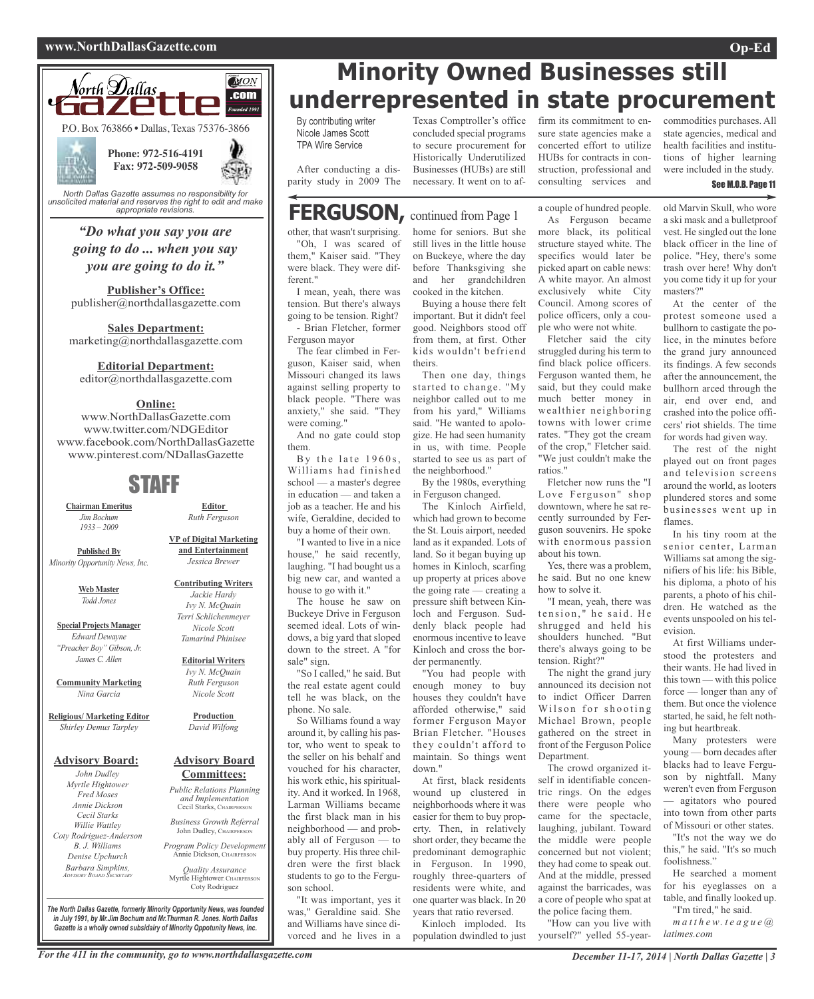#### **www.NorthDallasGazette.com Op-Ed**



*"Do what you say you are going to do ... when you say you are going to do it."*

**Publisher's Office:** publisher@northdallasgazette.com

**Sales Department:** marketing@northdallasgazette.com

#### **Editorial Department:**

editor@northdallasgazette.com

#### **Online:**

www.NorthDallasGazette.com www.twitter.com/NDGEditor www.facebook.com/NorthDallasGazette www.pinterest.com/NDallasGazette

### STAFF

**Chairman Emeritus** *Jim Bochum 1933 – 2009*

**Published By** *Minority Opportunity News, Inc.*

> **Web Master** *Todd Jones*

**Special Projects Manager** *Edward Dewayne "Preacher Boy" Gibson, Jr. James C. Allen*

**Community Marketing** *Nina Garcia*

**Religious/ Marketing Editor** *Shirley Demus Tarpley*

#### **Advisory Board:**

*John Dudley Myrtle Hightower Fred Moses Annie Dickson Cecil Starks Willie Wattley Coty Rodriguez-Anderson B. J. Williams Denise Upchurch Barbara Simpkins, ADVISORY BOARD SECRETARY*

**and Entertainment** *Jessica Brewer*

*Jackie Hardy Ivy N. McQuain Nicole Scott Tamarind Phinisee*

> *Ivy N. McQuain Ruth Ferguson*

*Public Relations Planning and Implementation* Cecil Starks, CHAIRPERSON

John Dudley, CHAIRPERSON

Annie Dickson, CHAIRPERS

Myrtle Hightower, CHAIRPERSON

*The North Dallas Gazette, formerly Minority Opportunity News, was founded in July 1991, by Mr.Jim Bochum and Mr.Thurman R. Jones. North Dallas Gazette is a wholly owned subsidairy of Minority Oppotunity News, Inc.*

## **Minority Owned Businesses still underrepresented in state procurement**

By contributing writer Nicole James Scott TPA Wire Service

After conducting a disparity study in 2009 The

other, that wasn't surprising. "Oh, I was scared of them," Kaiser said. "They were black. They were dif-

I mean, yeah, there was tension. But there's always going to be tension. Right? - Brian Fletcher, former

The fear climbed in Ferguson, Kaiser said, when Missouri changed its laws against selling property to black people. "There was anxiety," she said. "They

And no gate could stop

By the late  $1960s$ , Williams had finished school — a master's degree in education — and taken a job as a teacher. He and his wife, Geraldine, decided to buy a home of their own. "I wanted to live in a nice house," he said recently, laughing. "I had bought us a big new car, and wanted a house to go with it."

The house he saw on Buckeye Drive in Ferguson seemed ideal. Lots of windows, a big yard that sloped down to the street. A "for

tell he was black, on the

So Williams found a way around it, by calling his pastor, who went to speak to

ity. And it worked. In 1968, Larman Williams became the first black man in his neighborhood — and probably all of Ferguson — to buy property. His three children were the first black students to go to the Fergu-

"It was important, yes it was," Geraldine said. She and Williams have since divorced and he lives in a

phone. No sale.

son school.

ferent."

Ferguson mayor

were coming."

them.

Texas Comptroller's office concluded special programs to secure procurement for Historically Underutilized Businesses (HUBs) are still necessary. It went on to af-

home for seniors. But she still lives in the little house on Buckeye, where the day before Thanksgiving she and her grandchildren cooked in the kitchen. Buying a house there felt important. But it didn't feel good. Neighbors stood off from them, at first. Other kids wouldn't befriend

Then one day, things started to change. "My neighbor called out to me from his yard," Williams said. "He wanted to apologize. He had seen humanity in us, with time. People started to see us as part of

By the 1980s, everything

the neighborhood."

in Ferguson changed. The Kinloch Airfield, which had grown to become the St. Louis airport, needed land as it expanded. Lots of land. So it began buying up homes in Kinloch, scarfing up property at prices above the going rate — creating a pressure shift between Kinloch and Ferguson. Suddenly black people had enormous incentive to leave Kinloch and cross the bor-

der permanently.

down."

"You had people with enough money to buy houses they couldn't have afforded otherwise," said former Ferguson Mayor Brian Fletcher. "Houses they couldn't afford to maintain. So things went

At first, black residents wound up clustered in neighborhoods where it was easier for them to buy property. Then, in relatively short order, they became the predominant demographic in Ferguson. In 1990, roughly three-quarters of residents were white, and one quarter was black. In 20 years that ratio reversed. Kinloch imploded. Its population dwindled to just

theirs.

**FERGUSON,** continued from Page <sup>1</sup>

firm its commitment to ensure state agencies make a concerted effort to utilize HUBs for contracts in construction, professional and consulting services and

a couple of hundred people. As Ferguson became more black, its political structure stayed white. The specifics would later be picked apart on cable news: A white mayor. An almost exclusively white City Council. Among scores of police officers, only a couple who were not white.

Fletcher said the city struggled during his term to find black police officers. Ferguson wanted them, he said, but they could make much better money in wealthier neighboring towns with lower crime rates. "They got the cream of the crop," Fletcher said. "We just couldn't make the ratios."

Fletcher now runs the "I Love Ferguson" shop downtown, where he sat recently surrounded by Ferguson souvenirs. He spoke with enormous passion about his town.

Yes, there was a problem, he said. But no one knew how to solve it.

"I mean, yeah, there was tension," he said. He shrugged and held his shoulders hunched. "But there's always going to be tension. Right?"

The night the grand jury announced its decision not to indict Officer Darren Wilson for shooting Michael Brown, people gathered on the street in front of the Ferguson Police Department.

The crowd organized itself in identifiable concentric rings. On the edges there were people who came for the spectacle, laughing, jubilant. Toward the middle were people concerned but not violent; they had come to speak out. And at the middle, pressed against the barricades, was a core of people who spat at the police facing them.

"How can you live with yourself?" yelled 55-yearcommodities purchases. All state agencies, medical and health facilities and institutions of higher learning were included in the study.

See M.O.B. Page 11

old Marvin Skull, who wore a ski mask and a bulletproof vest. He singled out the lone black officer in the line of police. "Hey, there's some trash over here! Why don't you come tidy it up for your masters?"

At the center of the protest someone used a bullhorn to castigate the police, in the minutes before the grand jury announced its findings. A few seconds after the announcement, the bullhorn arced through the air, end over end, and crashed into the police officers' riot shields. The time for words had given way.

The rest of the night played out on front pages and television screens around the world, as looters plundered stores and some businesses went up in flames.

In his tiny room at the senior center, Larman Williams sat among the signifiers of his life: his Bible, his diploma, a photo of his parents, a photo of his children. He watched as the events unspooled on his television.

At first Williams understood the protesters and their wants. He had lived in this town — with this police force — longer than any of them. But once the violence started, he said, he felt nothing but heartbreak.

Many protesters were young — born decades after blacks had to leave Ferguson by nightfall. Many weren't even from Ferguson — agitators who poured into town from other parts of Missouri or other states.

"It's not the way we do this," he said. "It's so much foolishness."

He searched a moment for his eyeglasses on a table, and finally looked up. "I'm tired," he said.

*m a t t h e w. t e a g u e @ latimes.com*

**Editor** *Ruth Ferguson*

**VP of Digital Marketing**

## **Contributing Writers** *Terri Schlichenmeyer*

## **Editorial Writers**

*Nicole Scott*

*David Wilfong*

## **Advisory Board**

*Business Growth Referral*

*Program Policy Development*

*Quality Assurance* Coty Rodriguez

**Production**

#### sale" sign. "So I called," he said. But the real estate agent could



#### **Committees:** the seller on his behalf and vouched for his character, his work ethic, his spiritual-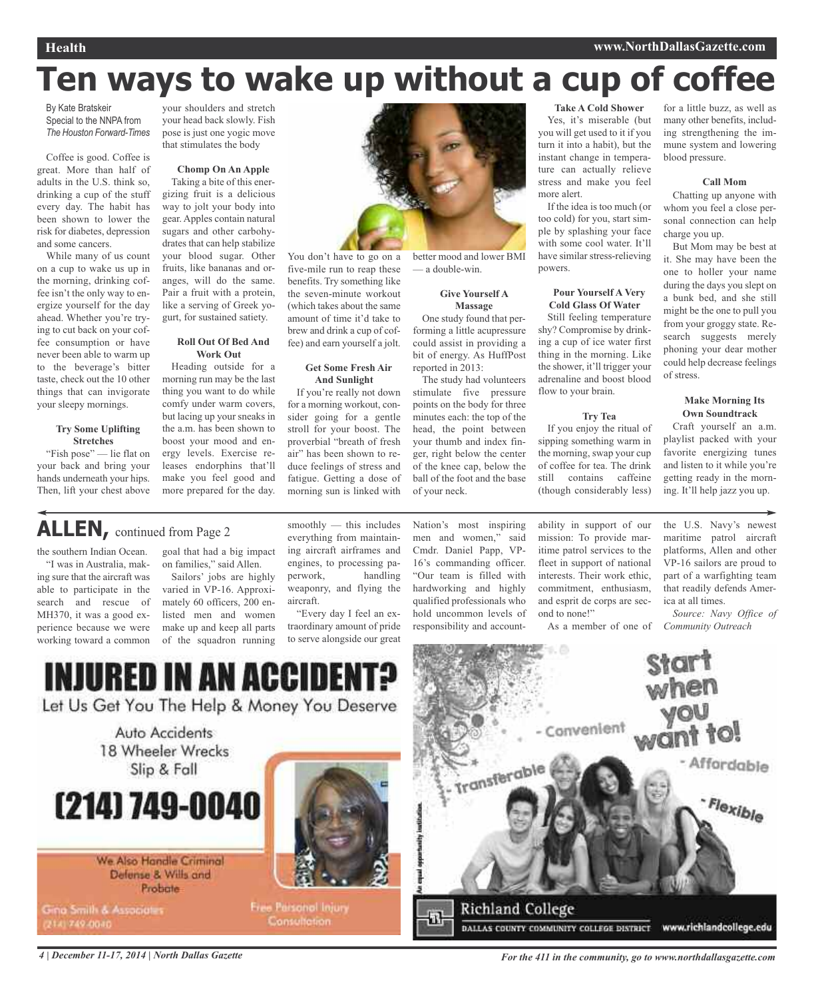# **Ten ways to wake up without a cup of coffee**

By Kate Bratskeir Special to the NNPA from *The Houston Forward-Times*

Coffee is good. Coffee is great. More than half of adults in the U.S. think so, drinking a cup of the stuff every day. The habit has been shown to lower the risk for diabetes, depression and some cancers.

While many of us count on a cup to wake us up in the morning, drinking coffee isn't the only way to energize yourself for the day ahead. Whether you're trying to cut back on your coffee consumption or have never been able to warm up to the beverage's bitter taste, check out the 10 other things that can invigorate your sleepy mornings.

#### **Try Some Uplifting Stretches**

"Fish pose" — lie flat on your back and bring your hands underneath your hips. Then, lift your chest above

your shoulders and stretch your head back slowly. Fish pose is just one yogic move that stimulates the body

#### **Chomp On An Apple**

Taking a bite of this energizing fruit is a delicious way to jolt your body into gear. Apples contain natural sugars and other carbohydrates that can help stabilize your blood sugar. Other fruits, like bananas and oranges, will do the same. Pair a fruit with a protein, like a serving of Greek yogurt, for sustained satiety.

#### **Roll Out Of Bed And Work Out**

Heading outside for a morning run may be the last thing you want to do while comfy under warm covers, but lacing up your sneaks in the a.m. has been shown to boost your mood and energy levels. Exercise releases endorphins that'll make you feel good and more prepared for the day.



five-mile run to reap these benefits. Try something like better mood and lower BMI — a double-win.

#### **Give Yourself A Massage**

One study found that performing a little acupressure could assist in providing a bit of energy. As HuffPost reported in 2013:

The study had volunteers stimulate five pressure points on the body for three minutes each: the top of the head, the point between your thumb and index finger, right below the center of the knee cap, below the ball of the foot and the base of your neck.

**Take A Cold Shower** Yes, it's miserable (but you will get used to it if you turn it into a habit), but the instant change in temperature can actually relieve stress and make you feel more alert.

If the idea is too much (or too cold) for you, start simple by splashing your face with some cool water. It'll have similar stress-relieving powers.

#### **Pour Yourself A Very Cold Glass Of Water**

Still feeling temperature shy? Compromise by drinking a cup of ice water first thing in the morning. Like the shower, it'll trigger your adrenaline and boost blood flow to your brain.

#### **Try Tea**

If you enjoy the ritual of sipping something warm in the morning, swap your cup of coffee for tea. The drink still contains caffeine (though considerably less)

for a little buzz, as well as many other benefits, including strengthening the immune system and lowering blood pressure.

#### **Call Mom**

Chatting up anyone with whom you feel a close personal connection can help charge you up.

But Mom may be best at it. She may have been the one to holler your name during the days you slept on a bunk bed, and she still might be the one to pull you from your groggy state. Research suggests merely phoning your dear mother could help decrease feelings of stress.

#### **Make Morning Its Own Soundtrack**

Craft yourself an a.m. playlist packed with your favorite energizing tunes and listen to it while you're getting ready in the morning. It'll help jazz you up.

**ALLEN,** continued from Page <sup>2</sup>

the southern Indian Ocean. "I was in Australia, mak-

ing sure that the aircraft was able to participate in the search and rescue of MH370, it was a good experience because we were working toward a common

goal that had a big impact on families," said Allen. Sailors' jobs are highly varied in VP-16. Approximately 60 officers, 200 en-

listed men and women make up and keep all parts of the squadron running

smoothly — this includes everything from maintaining aircraft airframes and engines, to processing paperwork, handling weaponry, and flying the aircraft.

the seven-minute workout (which takes about the same amount of time it'd take to brew and drink a cup of coffee) and earn yourself a jolt.

**Get Some Fresh Air And Sunlight** If you're really not down for a morning workout, consider going for a gentle stroll for your boost. The proverbial "breath of fresh air" has been shown to reduce feelings of stress and fatigue. Getting a dose of morning sun is linked with

"Every day I feel an extraordinary amount of pride to serve alongside our great

Nation's most inspiring men and women," said Cmdr. Daniel Papp, VP-16's commanding officer. "Our team is filled with hardworking and highly qualified professionals who hold uncommon levels of responsibility and account-

ability in support of our mission: To provide maritime patrol services to the fleet in support of national interests. Their work ethic, commitment, enthusiasm, and esprit de corps are second to none!"

As a member of one of *Community Outreach*

the U.S. Navy's newest maritime patrol aircraft platforms, Allen and other VP-16 sailors are proud to part of a warfighting team that readily defends America at all times.

*Source: Navy Office of*

INJURED IN AN ACCIDEN

Let Us Get You The Help & Money You Deserve

Auto Accidents 18 Wheeler Wrecks Slip & Fall



We Also Handle Criminal Defense & Wills and Probate

Gina Smith & Associates 2141749-0040



**Free Paisonal Injury** Consultation:



4 | December 11-17, 2014 | North Dallas Gazette com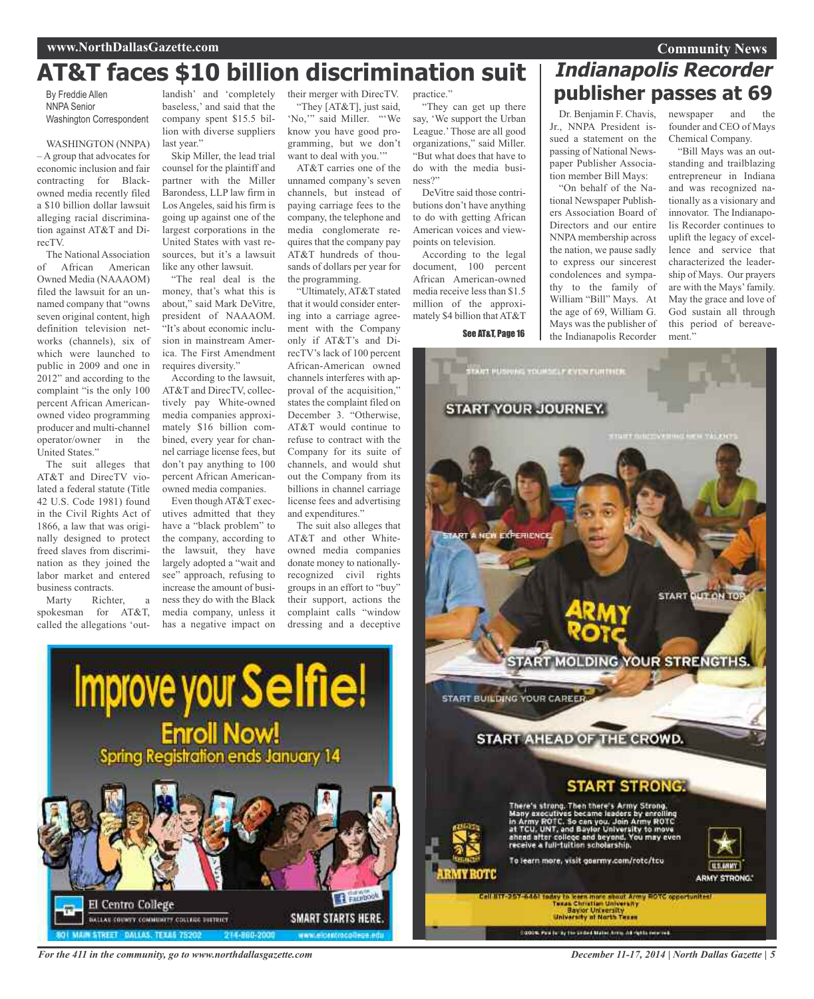## **AT&T faces \$10 billion discrimination suit**

By Freddie Allen NNPA Senior Washington Correspondent

WASHINGTON (NNPA) – A group that advocates for economic inclusion and fair contracting for Blackowned media recently filed a \$10 billion dollar lawsuit alleging racial discrimination against AT&T and DirecTV.

The National Association of African American Owned Media (NAAAOM) filed the lawsuit for an unnamed company that "owns seven original content, high definition television networks (channels), six of which were launched to public in 2009 and one in 2012" and according to the complaint "is the only 100 percent African Americanowned video programming producer and multi-channel operator/owner in the United States."

The suit alleges that AT&T and DirecTV violated a federal statute (Title 42 U.S. Code 1981) found in the Civil Rights Act of 1866, a law that was originally designed to protect freed slaves from discrimination as they joined the labor market and entered business contracts.

Marty Richter, a spokesman for AT&T, called the allegations 'out-

landish' and 'completely baseless,' and said that the company spent \$15.5 billion with diverse suppliers last year."

Skip Miller, the lead trial counsel for the plaintiff and partner with the Miller Barondess, LLP law firm in Los Angeles, said his firm is going up against one of the largest corporations in the United States with vast resources, but it's a lawsuit like any other lawsuit.

"The real deal is the money, that's what this is about," said Mark DeVitre, president of NAAAOM. "It's about economic inclusion in mainstream America. The First Amendment requires diversity."

According to the lawsuit, AT&T and DirecTV, collectively pay White-owned media companies approximately \$16 billion combined, every year for channel carriage license fees, but don't pay anything to 100 percent African Americanowned media companies.

Even though AT&T executives admitted that they have a "black problem" to the company, according to the lawsuit, they have largely adopted a "wait and see" approach, refusing to increase the amount of business they do with the Black media company, unless it has a negative impact on

**Improve your Selfie!** 

**Enroll Now!**<br>Spring Registration ends January 14

their merger with DirecTV.

"They [AT&T], just said, 'No,'" said Miller. "'We know you have good programming, but we don't want to deal with you."

AT&T carries one of the unnamed company's seven channels, but instead of paying carriage fees to the company, the telephone and media conglomerate requires that the company pay AT&T hundreds of thousands of dollars per year for the programming.

"Ultimately, AT&T stated that it would consider entering into a carriage agreement with the Company only if AT&T's and DirecTV's lack of 100 percent African-American owned channels interferes with approval of the acquisition," states the complaint filed on December 3. "Otherwise, AT&T would continue to refuse to contract with the Company for its suite of channels, and would shut out the Company from its billions in channel carriage license fees and advertising and expenditures."

The suit also alleges that AT&T and other Whiteowned media companies donate money to nationallyrecognized civil rights groups in an effort to "buy" their support, actions the complaint calls "window dressing and a deceptive

practice.'

"They can get up there say, 'We support the Urban League.'Those are all good organizations," said Miller. "But what does that have to do with the media business?"

DeVitre said those contributions don't have anything to do with getting African American voices and viewpoints on television.

According to the legal document, 100 percent African American-owned media receive less than \$1.5 million of the approximately \$4 billion that AT&T

See AT&T, Page 16

## **Indianapolis Recorder publisher passes at 69**

Dr. Benjamin F. Chavis, Jr., NNPA President issued a statement on the passing of National Newspaper Publisher Association member Bill Mays:

"On behalf of the National Newspaper Publishers Association Board of Directors and our entire NNPA membership across the nation, we pause sadly to express our sincerest condolences and sympathy to the family of William "Bill" Mays. At the age of 69, William G. Mays was the publisher of the Indianapolis Recorder

newspaper and the founder and CEO of Mays Chemical Company.

"Bill Mays was an outstanding and trailblazing entrepreneur in Indiana and was recognized nationally as a visionary and innovator. The Indianapolis Recorder continues to uplift the legacy of excellence and service that characterized the leadership of Mays. Our prayers are with the Mays'family. May the grace and love of God sustain all through this period of bereavement."



1000% Police by the probabilities from All rights new red

El Centro College **SMART STARTS HERE** ALLAS COUNTY COMMITATY COLLEGE DISTRICT *For the 411 in the community, go to www.northdallasgazette.com*

*December 11-17, 2014 | North Dallas Gazette | 5*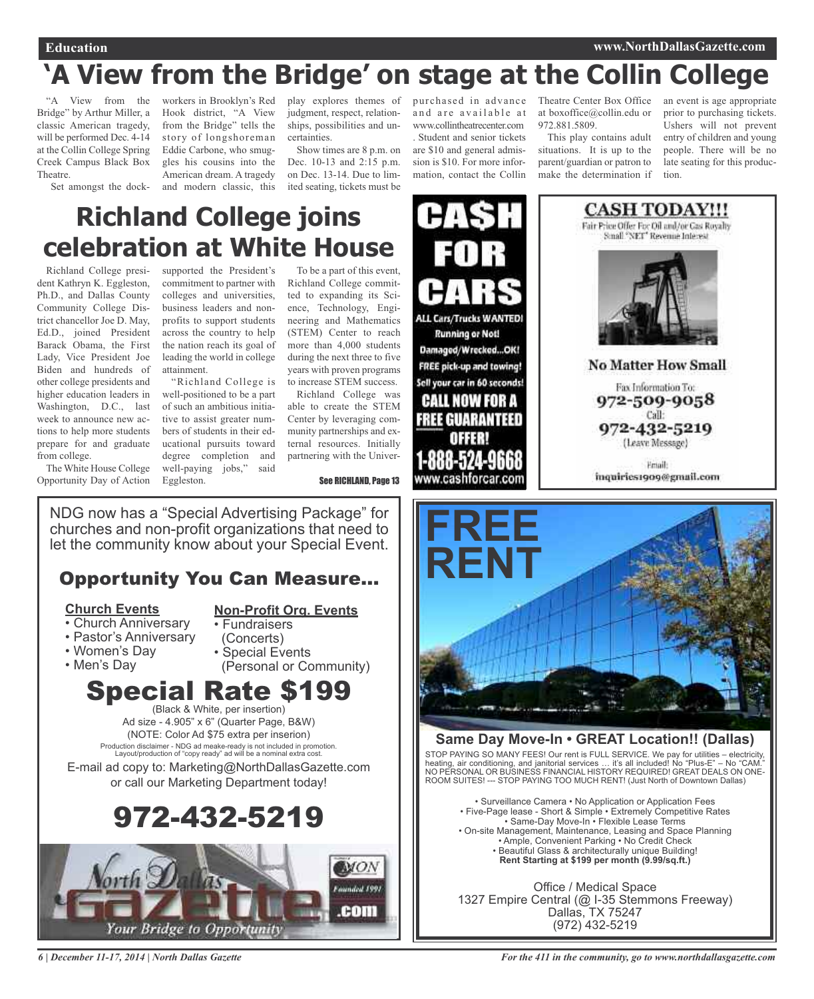# **'A View from the Bridge' on stage at the Collin College**

"A View from the Bridge" by Arthur Miller, a classic American tragedy, will be performed Dec. 4-14 at the Collin College Spring Creek Campus Black Box Theatre.

Set amongst the dock-

workers in Brooklyn's Red play explores themes of Hook district, "A View from the Bridge" tells the story of longshoreman Eddie Carbone, who smuggles his cousins into the American dream. A tragedy and modern classic, this

judgment, respect, relationships, possibilities and uncertainties.

Show times are 8 p.m. on Dec. 10-13 and 2:15 p.m. on Dec. 13-14. Due to limited seating, tickets must be

purchased in advance and are available at www.collintheatrecenter.com . Student and senior tickets are \$10 and general admission is \$10. For more information, contact the Collin

Theatre Center Box Office at boxoffice@collin.edu or 972.881.5809.

This play contains adult situations. It is up to the parent/guardian or patron to make the determination if

an event is age appropriate prior to purchasing tickets. Ushers will not prevent entry of children and young people. There will be no late seating for this production.

## **Richland College joins celebration at White House**

Richland College president Kathryn K. Eggleston, Ph.D., and Dallas County Community College District chancellor Joe D. May, Ed.D., joined President Barack Obama, the First Lady, Vice President Joe Biden and hundreds of other college presidents and higher education leaders in Washington, D.C., last week to announce new actions to help more students prepare for and graduate from college.

The White House College Opportunity Day of Action supported the President's commitment to partner with colleges and universities, business leaders and nonprofits to support students across the country to help the nation reach its goal of leading the world in college attainment.

"Richland College is well-positioned to be a part of such an ambitious initiative to assist greater numbers of students in their educational pursuits toward degree completion and well-paying jobs," said Eggleston.

To be a part of this event, Richland College committed to expanding its Science, Technology, Engineering and Mathematics (STEM) Center to reach more than 4,000 students during the next three to five years with proven programs to increase STEM success.

Richland College was able to create the STEM Center by leveraging community partnerships and external resources. Initially partnering with the Univer-

See RICHLAND, Page 13

NDG now has a "Special Advertising Package" for churches and non-profit organizations that need to let the community know about your Special Event.

## Opportunity You Can Measure...

#### **Church Events**

### **Non-Profit Org. Events**

- Church Anniversary • Fundraisers
- Pastor's Anniversary (Concerts)
- Women's Day
- Men's Day
- Special Events (Personal or Community)

### **Special Rate \$1** (Black & White, per insertion)

Ad size - 4.905" x 6" (Quarter Page, B&W) (NOTE: Color Ad \$75 extra per inserion) Production disclaimer - NDG ad meake-ready is not included in promotion. Layout/production of "copy ready" ad will be a nominal extra cost.

E-mail ad copy to: Marketing@NorthDallasGazette.com or call our Marketing Department today!





*6 | December 11-17, 2014 | North Dallas Gazette*

# **ALL Cars/Trucks WANTED Running or Not!** Damagod/Wrecked...OK! FREE pick-up and towing! Sell your car in 60 seconds! **CALL NOW FOR A** FREE GUARANTEED www.cashforcar.com **FREE**



**Same Day Move-In • GREAT Location!! (Dallas)**

STOP PAYING SO MANY FEES! Our rent is FULL SERVICE. We pay for utilities – electricity, heating, air conditioning, and janitorial services … it's all included! No "Plus-E" – No "CAM." NO PERSONAL OR BUSINESS FINANCIAL HISTORY REQUIRED! GREAT DEALS ON ONE-ROOM SUITES! --- STOP PAYING TOO MUCH RENT! (Just North of Downtown Dallas)

• Surveillance Camera • No Application or Application Fees • Five-Page lease - Short & Simple • Extremely Competitive Rates • Same-Day Move-In • Flexible Lease Terms • On-site Management, Maintenance, Leasing and Space Planning • Ample, Convenient Parking • No Credit Check • Beautiful Glass & architecturally unique Building! **Rent Starting at \$199 per month (9.99/sq.ft.)**

Office / Medical Space 1327 Empire Central (@ I-35 Stemmons Freeway) Dallas, TX 75247 (972) 432-5219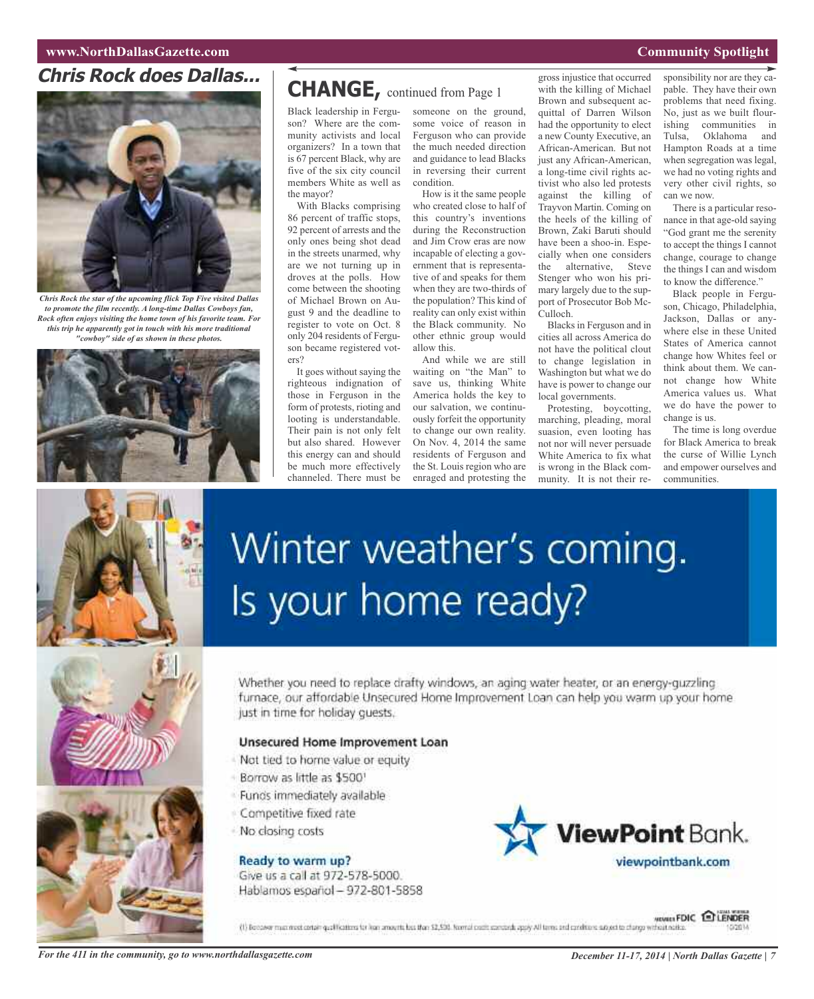#### **www.NorthDallasGazette.com Community** Spotlight

### **Chris Rock does Dallas...**



*Chris Rock the star of the upcoming flick Top Five visited Dallas to promote the film recently. A long-time Dallas Cowboys fan, Rock often enjoys visiting the home town of his favorite team. For this trip he apparently got in touch with his more traditional "cowboy" side of as shown in these photos.*



## **CHANGE,** continued from Page <sup>1</sup>

Black leadership in Ferguson? Where are the community activists and local organizers? In a town that is 67 percent Black, why are five of the six city council members White as well as the mayor?

With Blacks comprising 86 percent of traffic stops, 92 percent of arrests and the only ones being shot dead in the streets unarmed, why are we not turning up in droves at the polls. How come between the shooting of Michael Brown on August 9 and the deadline to register to vote on Oct. 8 only 204 residents of Ferguson became registered voters?

It goes without saying the righteous indignation of those in Ferguson in the form of protests, rioting and looting is understandable. Their pain is not only felt but also shared. However this energy can and should be much more effectively channeled. There must be

someone on the ground, some voice of reason in Ferguson who can provide the much needed direction and guidance to lead Blacks in reversing their current condition.

How is it the same people who created close to half of this country's inventions during the Reconstruction and Jim Crow eras are now incapable of electing a government that is representative of and speaks for them when they are two-thirds of the population? This kind of reality can only exist within the Black community. No other ethnic group would allow this.

And while we are still waiting on "the Man" to save us, thinking White America holds the key to our salvation, we continuously forfeit the opportunity to change our own reality. On Nov. 4, 2014 the same residents of Ferguson and the St. Louis region who are enraged and protesting the

gross injustice that occurred with the killing of Michael Brown and subsequent acquittal of Darren Wilson had the opportunity to elect a new County Executive, an African-American. But not just any African-American, a long-time civil rights activist who also led protests against the killing of Trayvon Martin. Coming on the heels of the killing of Brown, Zaki Baruti should have been a shoo-in. Especially when one considers the alternative, Steve Stenger who won his primary largely due to the support of Prosecutor Bob Mc-Culloch.

Blacks in Ferguson and in cities all across America do not have the political clout to change legislation in Washington but what we do have is power to change our local governments.

Protesting, boycotting, marching, pleading, moral suasion, even looting has not nor will never persuade White America to fix what is wrong in the Black community. It is not their re-

sponsibility nor are they capable. They have their own problems that need fixing. No, just as we built flourishing communities in Tulsa, Oklahoma and Hampton Roads at a time when segregation was legal, we had no voting rights and very other civil rights, so can we now.

There is a particular resonance in that age-old saying "God grant me the serenity to accept the things I cannot change, courage to change the things I can and wisdom to know the difference."

Black people in Ferguson, Chicago, Philadelphia, Jackson, Dallas or anywhere else in these United States of America cannot change how Whites feel or think about them. We cannot change how White America values us. What we do have the power to change is us.

The time is long overdue for Black America to break the curse of Willie Lynch and empower ourselves and communities.



# Winter weather's coming. Is your home ready?





Whether you need to replace drafty windows, an aging water heater, or an energy-guzzling furnace, our affordable Unsecured Home Improvement Loan can help you warm up your home. just in time for holiday quests.

#### Unsecured Home Improvement Loan

- Not tied to home value or equity
- Borrow as little as \$500'
- Funds immediately available
- Competitive fixed rate
- No closing costs

Ready to warm up? Give us a call at 972-578-5000. Hablamos español - 972-801-5858



www.FDIC DIENDER<br>ENDER (1) Boozeer man met ontar qualitation during and like you all the SLEM and and the state of any structure of the state of the SLEM (1)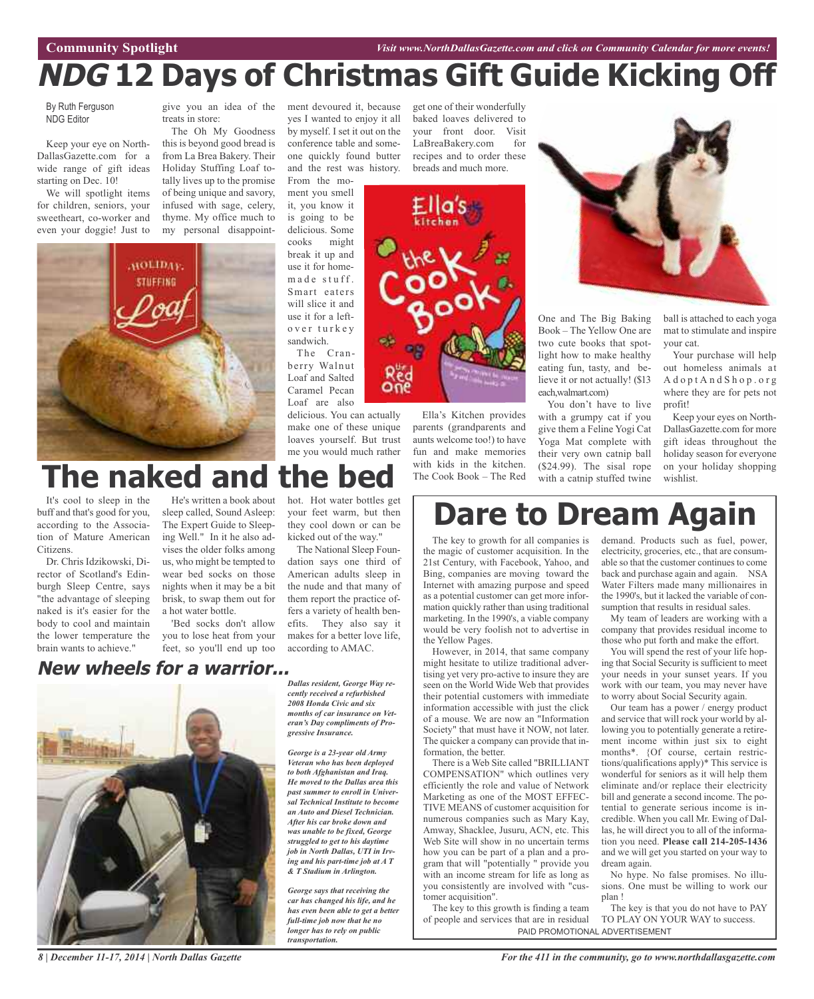# **NDG 12 Days of Christmas Gift Guide Kicking Off**

By Ruth Ferguson NDG Editor

Keep your eye on North-DallasGazette.com for a wide range of gift ideas starting on Dec. 10!

We will spotlight items for children, seniors, your sweetheart, co-worker and even your doggie! Just to

**MOLIDAY.** STUFFING

give you an idea of the treats in store:

The Oh My Goodness this is beyond good bread is from La Brea Bakery. Their Holiday Stuffing Loaf totally lives up to the promise of being unique and savory, infused with sage, celery, thyme. My office much to my personal disappoint-

ment devoured it, because yes I wanted to enjoy it all by myself. I set it out on the conference table and someone quickly found butter and the rest was history. From the mo-

ment you smell it, you know it is going to be delicious. Some cooks might break it up and use it for homemade stuff. Smart eaters will slice it and use it for a lefto v e r t u r k e y sandwich. The Cran-

berry Walnut Loaf and Salted Caramel Pecan Loaf are also

delicious. You can actually make one of these unique loaves yourself. But trust me you would much rather

## **The naked and the bed**

It's cool to sleep in the buff and that's good for you, according to the Association of Mature American Citizens.

Dr. Chris Idzikowski, Director of Scotland's Edinburgh Sleep Centre, says "the advantage of sleeping naked is it's easier for the body to cool and maintain the lower temperature the brain wants to achieve."

sleep called, Sound Asleep: The Expert Guide to Sleeping Well." In it he also advises the older folks among us, who might be tempted to wear bed socks on those nights when it may be a bit brisk, to swap them out for a hot water bottle.

'Bed socks don't allow you to lose heat from your feet, so you'll end up too



*8 | December 11-17, 2014 | North Dallas Gazette*

He's written a book about hot. Hot water bottles get your feet warm, but then they cool down or can be kicked out of the way."

> The National Sleep Foundation says one third of American adults sleep in the nude and that many of them report the practice offers a variety of health benefits. They also say it makes for a better love life, according to AMAC.

*Dallas resident, George Way recently received a refurbished 2008 Honda Civic and six months of car insurance on Veteran's Day compliments of Progressive Insurance.* **New wheels for a warrior...**

> *George is a 23-year old Army Veteran who has been deployed to both Afghanistan and Iraq. He moved to the Dallas area this past summer to enroll in Universal Technical Institute to become an Auto and Diesel Technician. After his car broke down and was unable to be fixed, George struggled to get to his daytime job in North Dallas, UTI in Irving and his part-time job at A T & T Stadium in Arlington.*

*George says that receiving the car has changed his life, and he has even been able to get a better full-time job now that he no longer has to rely on public transportation.*

get one of their wonderfully baked loaves delivered to your front door. Visit LaBreaBakery.com for recipes and to order these breads and much more.



Ella's Kitchen provides parents (grandparents and aunts welcome too!) to have fun and make memories with kids in the kitchen. The Cook Book – The Red



One and The Big Baking Book – The Yellow One are two cute books that spotlight how to make healthy eating fun, tasty, and believe it or not actually! (\$13 each,walmart.com)

You don't have to live with a grumpy cat if you give them a Feline Yogi Cat Yoga Mat complete with their very own catnip ball (\$24.99). The sisal rope with a catnip stuffed twine ball is attached to each yoga mat to stimulate and inspire your cat.

Your purchase will help out homeless animals at A d o p t A n d S h o p . o r g where they are for pets not profit!

Keep your eyes on North-DallasGazette.com for more gift ideas throughout the holiday season for everyone on your holiday shopping wishlist.

## **Dare to Dream**

The key to growth for all companies is the magic of customer acquisition. In the 21st Century, with Facebook, Yahoo, and Bing, companies are moving toward the Internet with amazing purpose and speed as a potential customer can get more information quickly rather than using traditional marketing. In the 1990's, a viable company would be very foolish not to advertise in the Yellow Pages.

However, in 2014, that same company might hesitate to utilize traditional advertising yet very pro-active to insure they are seen on the World Wide Web that provides their potential customers with immediate information accessible with just the click of a mouse. We are now an "Information Society" that must have it NOW, not later. The quicker a company can provide that information, the better.

There is a Web Site called "BRILLIANT COMPENSATION" which outlines very efficiently the role and value of Network Marketing as one of the MOST EFFEC-TIVE MEANS of customer acquisition for numerous companies such as Mary Kay, Amway, Shacklee, Jusuru, ACN, etc. This Web Site will show in no uncertain terms how you can be part of a plan and a program that will "potentially " provide you with an income stream for life as long as you consistently are involved with "customer acquisition".

The key to this growth is finding a team of people and services that are in residual PAID PROMOTIONAL ADVERTISEMENT

demand. Products such as fuel, power, electricity, groceries, etc., that are consumable so that the customer continues to come back and purchase again and again. NSA Water Filters made many millionaires in the 1990's, but it lacked the variable of consumption that results in residual sales.

My team of leaders are working with a company that provides residual income to those who put forth and make the effort.

You will spend the rest of your life hoping that Social Security is sufficient to meet your needs in your sunset years. If you work with our team, you may never have to worry about Social Security again.

Our team has a power / energy product and service that will rock your world by allowing you to potentially generate a retirement income within just six to eight months\*. {Of course, certain restrictions/qualifications apply)\* This service is wonderful for seniors as it will help them eliminate and/or replace their electricity bill and generate a second income. The potential to generate serious income is incredible. When you call Mr. Ewing of Dallas, he will direct you to all of the information you need. **Please call 214-205-1436** and we will get you started on your way to dream again.

No hype. No false promises. No illusions. One must be willing to work our plan !

The key is that you do not have to PAY TO PLAY ON YOUR WAY to success.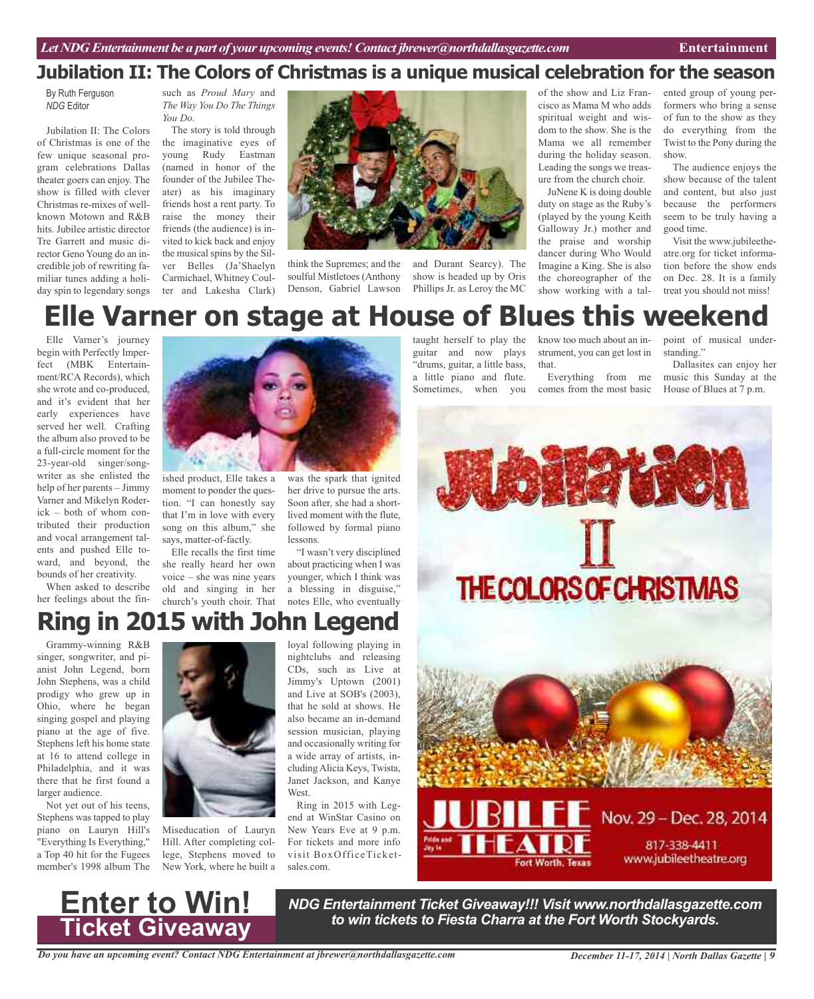### **Jubilation II: The Colors of Christmas is a unique musical celebration for the season**

By Ruth Ferguson *NDG* Editor

Jubilation II: The Colors of Christmas is one of the few unique seasonal program celebrations Dallas theater goers can enjoy. The show is filled with clever Christmas re-mixes of wellknown Motown and R&B hits. Jubilee artistic director Tre Garrett and music director Geno Young do an incredible job of rewriting familiar tunes adding a holiday spin to legendary songs

such as *Proud Mary* and *The Way You Do The Things You Do.*

The story is told through the imaginative eyes of young Rudy Eastman (named in honor of the founder of the Jubilee Theater) as his imaginary friends host a rent party. To raise the money their friends (the audience) is invited to kick back and enjoy the musical spins by the Silver Belles (Ja'Shaelyn Carmichael, Whitney Coulter and Lakesha Clark)



think the Supremes; and the soulful Mistletoes (Anthony Denson, Gabriel Lawson Phillips Jr. as Leroy the MC

and Durant Searcy). The show is headed up by Oris

taught herself to play the guitar and now plays "drums, guitar, a little bass, a little piano and flute. Sometimes, when you of the show and Liz Francisco as Mama M who adds spiritual weight and wisdom to the show. She is the Mama we all remember during the holiday season. Leading the songs we treasure from the church choir.

JuNene K is doing double duty on stage as the Ruby's (played by the young Keith Galloway Jr.) mother and the praise and worship dancer during Who Would Imagine a King. She is also the choreographer of the show working with a tal-

know too much about an instrument, you can get lost in

Everything from me comes from the most basic

that.

ented group of young performers who bring a sense of fun to the show as they do everything from the Twist to the Pony during the show.

The audience enjoys the show because of the talent and content, but also just because the performers seem to be truly having a good time.

Visit the www.jubileetheatre.org for ticket information before the show ends on Dec. 28. It is a family treat you should not miss!

point of musical under-

Dallasites can enjoy her music this Sunday at the House of Blues at 7 p.m.

standing."

## **Elle Varner on stage at House of Blues this weekend**

Elle Varner's journey begin with Perfectly Imperfect (MBK Entertainment/RCA Records), which she wrote and co-produced, and it's evident that her early experiences have served her well. Crafting the album also proved to be a full-circle moment for the 23-year-old singer/songwriter as she enlisted the help of her parents – Jimmy Varner and Mikelyn Roderick – both of whom contributed their production and vocal arrangement talents and pushed Elle toward, and beyond, the bounds of her creativity.

When asked to describe her feelings about the fin-



ished product, Elle takes a moment to ponder the question. "I can honestly say that I'm in love with every song on this album," she says, matter-of-factly.

Elle recalls the first time she really heard her own voice – she was nine years old and singing in her church's youth choir. That notes Elle, who eventually

was the spark that ignited her drive to pursue the arts. Soon after, she had a shortlived moment with the flute, followed by formal piano lessons.

"I wasn't very disciplined about practicing when I was younger, which I think was a blessing in disguise,"

## **Ring in 2015 with John Legend**

Grammy-winning R&B singer, songwriter, and pianist John Legend, born John Stephens, was a child prodigy who grew up in Ohio, where he began singing gospel and playing piano at the age of five. Stephens left his home state at 16 to attend college in Philadelphia, and it was there that he first found a larger audience.

Not yet out of his teens, Stephens was tapped to play piano on Lauryn Hill's "Everything Is Everything," a Top 40 hit for the Fugees member's 1998 album The



Miseducation of Lauryn Hill. After completing college, Stephens moved to New York, where he built a loyal following playing in nightclubs and releasing CDs, such as Live at Jimmy's Uptown (2001) and Live at SOB's (2003), that he sold at shows. He also became an in-demand session musician, playing and occasionally writing for a wide array of artists, including Alicia Keys, Twista, Janet Jackson, and Kanye West.

Ring in 2015 with Legend at WinStar Casino on New Years Eve at 9 p.m. For tickets and more info visit BoxOfficeTicketsales.com.



817-338-4411 www.jubileetheatre.org

# **Ticket Giveaway**

Enter to Win! NDG Entertainment Ticket Giveaway!!! Visit www.northdallasgazette.com<br>Ticket Giveaway

ort Worth, Texa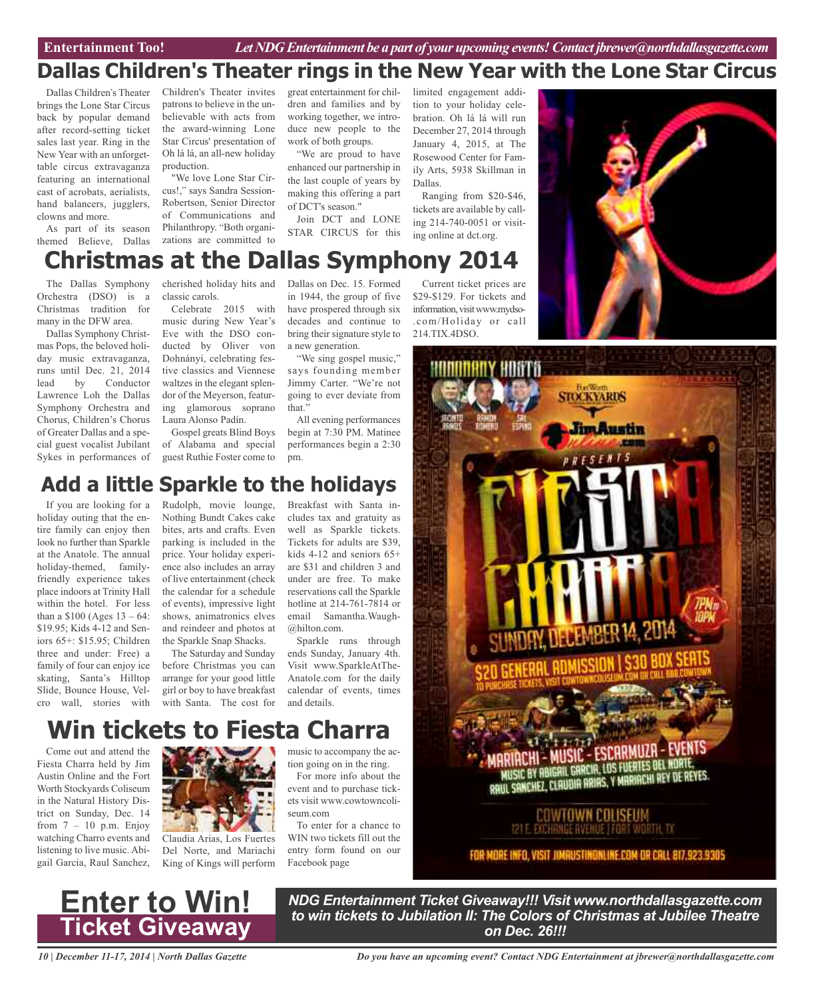Entertainment Too! *Let NDG Entertainment be a part of your upcoming events! Contact jbrewer@northdallasgazette.com* 

## **Dallas Children's Theater rings in the New Year with the Lone Star Circus**

Dallas Children's Theater brings the Lone Star Circus back by popular demand after record-setting ticket sales last year. Ring in the New Year with an unforgettable circus extravaganza featuring an international cast of acrobats, aerialists, hand balancers, jugglers, clowns and more.

As part of its season themed Believe, Dallas Children's Theater invites patrons to believe in the unbelievable with acts from the award-winning Lone Star Circus' presentation of Oh lá lá, an all-new holiday production.

"We love Lone Star Circus!," says Sandra Session-Robertson, Senior Director of Communications and Philanthropy. "Both organizations are committed to

great entertainment for children and families and by working together, we introduce new people to the work of both groups.

"We are proud to have enhanced our partnership in the last couple of years by making this offering a part of DCT's season."

Join DCT and LONE STAR CIRCUS for this limited engagement addition to your holiday celebration. Oh lá lá will run December 27, 2014 through January 4, 2015, at The Rosewood Center for Family Arts, 5938 Skillman in Dallas.

Ranging from \$20-\$46, tickets are available by calling 214-740-0051 or visiting online at dct.org.

Current ticket prices are \$29-\$129. For tickets and information, visit www.mydso-.com/Holiday or call

214.TIX.4DSO.



## **Christmas at the Dallas Symphony 2014**

The Dallas Symphony Orchestra (DSO) is a Christmas tradition for many in the DFW area.

Dallas Symphony Christmas Pops, the beloved holiday music extravaganza, runs until Dec. 21, 2014 lead by Conductor Lawrence Loh the Dallas Symphony Orchestra and Chorus, Children's Chorus of Greater Dallas and a special guest vocalist Jubilant Sykes in performances of

cherished holiday hits and classic carols.

Celebrate 2015 with music during New Year's Eve with the DSO conducted by Oliver von Dohnányi, celebrating festive classics and Viennese waltzes in the elegant splendor of the Meyerson, featuring glamorous soprano Laura Alonso Padín.

Gospel greats Blind Boys of Alabama and special guest Ruthie Foster come to

Dallas on Dec. 15. Formed in 1944, the group of five have prospered through six decades and continue to bring their signature style to a new generation.

"We sing gospel music," says founding member Jimmy Carter. "We're not going to ever deviate from that."

All evening performances begin at 7:30 PM. Matinee performances begin a 2:30 pm.

## **Add a little Sparkle to the holidays**

If you are looking for a holiday outing that the entire family can enjoy then look no further than Sparkle at the Anatole. The annual holiday-themed, familyfriendly experience takes place indoors at Trinity Hall within the hotel. For less than a  $$100 (Ages 13 - 64)$ : \$19.95; Kids 4-12 and Seniors 65+: \$15.95; Children three and under: Free) a family of four can enjoy ice skating, Santa's Hilltop Slide, Bounce House, Velcro wall, stories with

Rudolph, movie lounge, Nothing Bundt Cakes cake bites, arts and crafts. Even parking is included in the price. Your holiday experience also includes an array of live entertainment (check the calendar for a schedule of events), impressive light shows, animatronics elves and reindeer and photos at the Sparkle Snap Shacks.

The Saturday and Sunday before Christmas you can arrange for your good little girl or boy to have breakfast with Santa. The cost for

Breakfast with Santa includes tax and gratuity as well as Sparkle tickets. Tickets for adults are \$39, kids 4-12 and seniors 65+ are \$31 and children 3 and under are free. To make reservations call the Sparkle hotline at 214-761-7814 or email Samantha.Waugh- @hilton.com.

Sparkle runs through ends Sunday, January 4th. Visit www.SparkleAtThe-Anatole.com for the daily calendar of events, times and details.

## **Win tickets to Fiesta Charra**

Come out and attend the Fiesta Charra held by Jim Austin Online and the Fort Worth Stockyards Coliseum in the Natural History District on Sunday, Dec. 14 from  $7 - 10$  p.m. Enjoy watching Charro events and listening to live music. Abigail Garcia, Raul Sanchez,



Del Norte, and Mariachi King of Kings will perform music to accompany the action going on in the ring.

For more info about the event and to purchase tickets visit www.cowtowncoliseum.com

To enter for a chance to WIN two tickets fill out the entry form found on our Facebook page



**STOCKYARDS** 

FOR MORE INFO, VISIT JIMAUSTINONLINE.COM OR CALL 817.923.9305



*NDG Entertainment Ticket Giveaway!!! Visit www.northdallasgazette.com to win tickets to Jubilation II: The Colors of Christmas at Jubilee Theatre on Dec. 26!!!*

*10 | December 11-17, 2014 | North Dallas Gazette*

*Do you have an upcoming event? Contact NDG Entertainment at jbrewer@northdallasgazette.com*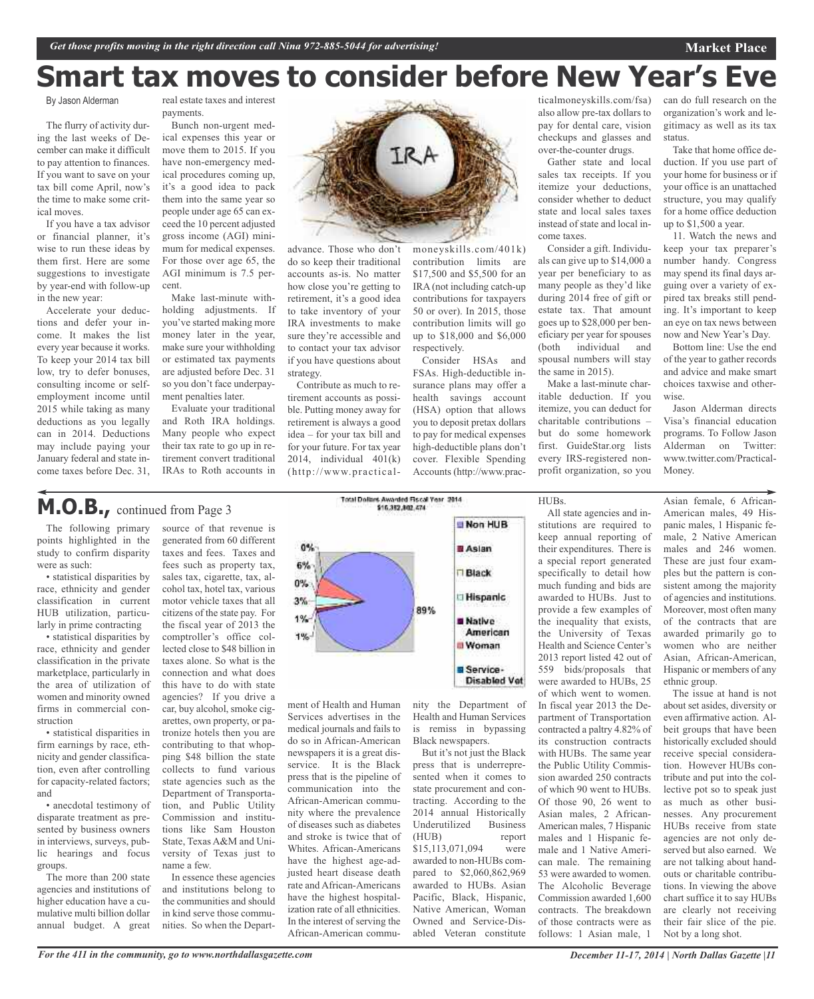# **Smart tax moves to consider before New Year's Eve**

#### By Jason Alderman

The flurry of activity during the last weeks of December can make it difficult to pay attention to finances. If you want to save on your tax bill come April, now's the time to make some critical moves.

If you have a tax advisor or financial planner, it's wise to run these ideas by them first. Here are some suggestions to investigate by year-end with follow-up in the new year:

Accelerate your deductions and defer your income. It makes the list every year because it works. To keep your 2014 tax bill low, try to defer bonuses, consulting income or selfemployment income until 2015 while taking as many deductions as you legally can in 2014. Deductions may include paying your January federal and state income taxes before Dec. 31, real estate taxes and interest payments.

Bunch non-urgent medical expenses this year or move them to 2015. If you have non-emergency medical procedures coming up, it's a good idea to pack them into the same year so people under age 65 can exceed the 10 percent adjusted gross income (AGI) minimum for medical expenses. For those over age 65, the AGI minimum is 7.5 percent.

Make last-minute withholding adjustments. If you've started making more money later in the year, make sure your withholding or estimated tax payments are adjusted before Dec. 31 so you don't face underpayment penalties later.

Evaluate your traditional and Roth IRA holdings. Many people who expect their tax rate to go up in retirement convert traditional IRAs to Roth accounts in

source of that revenue is



advance. Those who don't do so keep their traditional accounts as-is. No matter how close you're getting to retirement, it's a good idea to take inventory of your IRA investments to make sure they're accessible and to contact your tax advisor if you have questions about strategy.

Contribute as much to retirement accounts as possible. Putting money away for retirement is always a good idea – for your tax bill and for your future. For tax year 2014, individual  $401(k)$ (http://www.practical-

moneyskills.com/401k) contribution limits are \$17,500 and \$5,500 for an IRA (not including catch-up contributions for taxpayers 50 or over). In 2015, those contribution limits will go up to \$18,000 and \$6,000 respectively.

Consider HSAs and FSAs. High-deductible insurance plans may offer a health savings account (HSA) option that allows you to deposit pretax dollars to pay for medical expenses high-deductible plans don't cover. Flexible Spending Accounts (http://www.practicalmoneyskills.com/fsa) also allow pre-tax dollars to pay for dental care, vision checkups and glasses and over-the-counter drugs.

Gather state and local sales tax receipts. If you itemize your deductions, consider whether to deduct state and local sales taxes instead of state and local income taxes.

Consider a gift. Individuals can give up to \$14,000 a year per beneficiary to as many people as they'd like during 2014 free of gift or estate tax. That amount goes up to \$28,000 per beneficiary per year for spouses (both individual and spousal numbers will stay the same in 2015).

Make a last-minute charitable deduction. If you itemize, you can deduct for charitable contributions – but do some homework first. GuideStar.org lists every IRS-registered nonprofit organization, so you can do full research on the organization's work and legitimacy as well as its tax status.

**Market Place**

Take that home office deduction. If you use part of your home for business or if your office is an unattached structure, you may qualify for a home office deduction up to \$1,500 a year.

11. Watch the news and keep your tax preparer's number handy. Congress may spend its final days arguing over a variety of expired tax breaks still pending. It's important to keep an eye on tax news between now and New Year's Day.

Bottom line: Use the end of the year to gather records and advice and make smart choices taxwise and otherwise.

Jason Alderman directs Visa's financial education programs. To Follow Jason Alderman on Twitter: www.twitter.com/Practical-Money.

**M.O.B.,** continued from Page <sup>3</sup>

The following primary points highlighted in the study to confirm disparity were as such:

• statistical disparities by race, ethnicity and gender classification in current HUB utilization, particularly in prime contracting

• statistical disparities by race, ethnicity and gender classification in the private marketplace, particularly in the area of utilization of women and minority owned firms in commercial construction

• statistical disparities in firm earnings by race, ethnicity and gender classification, even after controlling for capacity-related factors; and

• anecdotal testimony of disparate treatment as presented by business owners in interviews, surveys, public hearings and focus groups.

The more than 200 state agencies and institutions of higher education have a cumulative multi billion dollar annual budget. A great

generated from 60 different taxes and fees. Taxes and fees such as property tax, sales tax, cigarette, tax, alcohol tax, hotel tax, various motor vehicle taxes that all citizens of the state pay. For the fiscal year of 2013 the comptroller's office collected close to \$48 billion in taxes alone. So what is the connection and what does this have to do with state agencies? If you drive a car, buy alcohol, smoke cigarettes, own property, or patronize hotels then you are contributing to that whopping \$48 billion the state collects to fund various state agencies such as the Department of Transportation, and Public Utility Commission and institutions like Sam Houston State, Texas A&M and University of Texas just to name a few.

In essence these agencies and institutions belong to the communities and should in kind serve those communities. So when the Depart-



ment of Health and Human Services advertises in the medical journals and fails to do so in African-American newspapers it is a great disservice. It is the Black press that is the pipeline of communication into the African-American community where the prevalence of diseases such as diabetes and stroke is twice that of Whites. African-Americans have the highest age-adjusted heart disease death rate and African-Americans have the highest hospitalization rate of all ethnicities. In the interest of serving the African-American community the Department of Health and Human Services is remiss in bypassing Black newspapers.

But it's not just the Black press that is underrepresented when it comes to state procurement and contracting. According to the 2014 annual Historically Underutilized Business (HUB) report \$15,113,071,094 were awarded to non-HUBs compared to \$2,060,862,969 awarded to HUBs. Asian Pacific, Black, Hispanic, Native American, Woman Owned and Service-Disabled Veteran constitute

### HUBs.

All state agencies and institutions are required to keep annual reporting of their expenditures. There is a special report generated specifically to detail how much funding and bids are awarded to HUBs. Just to provide a few examples of the inequality that exists, the University of Texas Health and Science Center's 2013 report listed 42 out of 559 bids/proposals that were awarded to HUBs, 25 of which went to women. In fiscal year 2013 the Department of Transportation contracted a paltry 4.82% of its construction contracts with HUBs. The same year the Public Utility Commission awarded 250 contracts of which 90 went to HUBs. Of those 90, 26 went to Asian males, 2 African-American males, 7 Hispanic males and 1 Hispanic female and 1 Native American male. The remaining 53 were awarded to women. The Alcoholic Beverage Commission awarded 1,600 contracts. The breakdown of those contracts were as follows: 1 Asian male, 1

Asian female, 6 African-American males, 49 Hispanic males, 1 Hispanic female, 2 Native American males and 246 women. These are just four examples but the pattern is consistent among the majority of agencies and institutions. Moreover, most often many of the contracts that are awarded primarily go to women who are neither Asian, African-American, Hispanic or members of any ethnic group.

The issue at hand is not about set asides, diversity or even affirmative action. Albeit groups that have been historically excluded should receive special consideration. However HUBs contribute and put into the collective pot so to speak just as much as other businesses. Any procurement HUBs receive from state agencies are not only deserved but also earned. We are not talking about handouts or charitable contributions. In viewing the above chart suffice it to say HUBs are clearly not receiving their fair slice of the pie. Not by a long shot.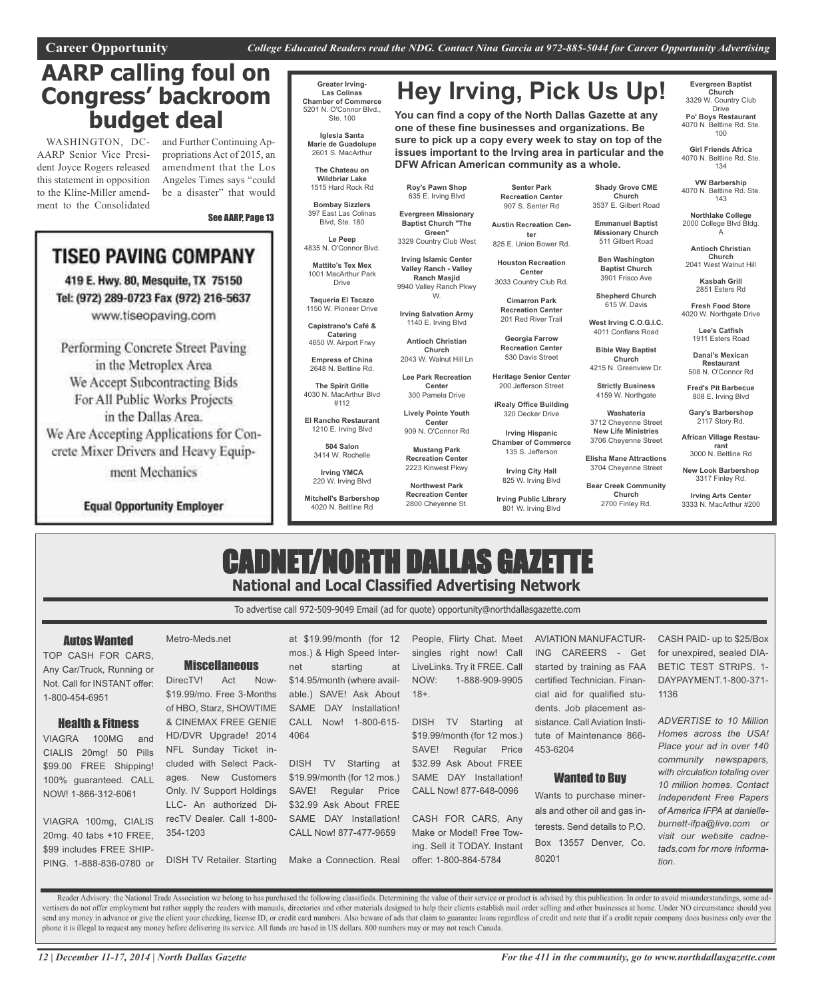**DFW African American community as a whole.**

## **AARP calling foul on Congress' backroom budget deal**

WASHINGTON, DC-AARP Senior Vice President Joyce Rogers released this statement in opposition to the Kline-Miller amendment to the Consolidated

and Further Continuing Appropriations Act of 2015, an amendment that the Los Angeles Times says "could be a disaster" that would

See AARP, Page 13

## **TISEO PAVING COMPANY**

419 E. Hwy. 80, Mesquite, TX 75150 Tel: (972) 289-0723 Fax (972) 216-5637 www.tiseopaving.com

Performing Concrete Street Paving in the Metroplex Area We Accept Subcontracting Bids For All Public Works Projects in the Dallas Area. We Are Accepting Applications for Con-

crete Mixer Drivers and Heavy Equipment Mechanics

**Equal Opportunity Employer** 

#### **Greater Irving-Las Colinas Chamber of Commerce** 5201 N. O'Connor Blvd., Ste. 100

**Iglesia Santa Marie de Guadolupe** 2601 S. MacArthur

**The Chateau on Wildbriar Lake** 1515 Hard Rock Rd

**Bombay Sizzlers** 397 East Las Colinas

Blvd, Ste. 180 **Le Peep** 4835 N. O'Connor Blvd.

**Mattito's Tex Mex** 1001 MacArthur Park

Drive **Taqueria El Tacazo**

1150 W. Pioneer Drive **Capistrano's Café & Catering**

4650 W. Airport Frwy **Empress of China**

2648 N. Beltline Rd. **The Spirit Grille** 4030 N. MacArthur Blvd

#112 **El Rancho Restaurant**

> 1210 E. Irving Blvd **504 Salon** 3414 W. Rochelle

**Irving YMCA** 220 W. Irving Blvd

**Mitchell's Barbershop** 4020 N. Beltline Rd

**Senter Park Recreation Center** 907 S. Senter Rd

**Hey Irving, Pick Us Up!**

**You can find a copy of the North Dallas Gazette at any one of these fine businesses and organizations. Be sure to pick up a copy every week to stay on top of the issues important to the Irving area in particular and the**

**Roy's Pawn Shop** 635 E. Irving Blvd **Evergreen Missionary Baptist Church "The Green"**

**Irving Islamic Center Valley Ranch - Valley Ranch Masjid** 9940 Valley Ranch Pkwy W. **Irving Salvation Army** 1140 E. Irving Blvd **Antioch Christian Church** 2043 W. Walnut Hill Ln

**Center**

**Center**

**Mustang Park**

**Northwest Park**

2800 Cheyenne St.

3329 Country Club West **Austin Recreation Center** 825 E. Union Bower Rd.

> **Houston Recreation Center** 3033 Country Club Rd.

> > **Cimarron Park Recreation Center** 201 Red River Trail

**Georgia Farrow Recreation Center** 530 Davis Street

**Heritage Senior Center** 200 Jefferson Street

**iRealy Office Building** 320 Decker Drive

**Irving Hispanic Chamber of Commerce**

> **Irving City Hall** 825 W. Irving Blvd

**Irving Public Library**

**Shady Grove CME Church** 3537 E. Gilbert Road

**Emmanuel Baptist Missionary Church**

511 Gilbert Road **Ben Washington Baptist Church**

3901 Frisco Ave **Shepherd Church** 615 W. Davis

**West Irving C.O.G.I.C.**

**Church** 4215 N. Greenview Dr. **Strictly Business** 4159 W. Northgate **Washateria** 3712 Cheyenne Street **New Life Ministries** 3706 Cheyenne Street **Elisha Mane Attractions** 3704 Cheyenne Street **Bear Creek Community Church** 2700 Finley Rd.

4011 Conflans Road **Bible Way Baptist**

**Danal's Mexican Restaurant** 508 N. O'Connor Rd

> **Fred's Pit Barbecue** 808 E. Irving Blvd

**Evergreen Baptist Church** 3329 W. Country Club Drive **Po' Boys Restaurant** 4070 N. Beltline Rd. Ste. 100 **Girl Friends Africa** 4070 N. Beltline Rd. Ste. 134 **VW Barbership** 4070 N. Beltline Rd. Ste. 143 **Northlake College** 2000 College Blvd Bldg. A **Antioch Christian Church** 2041 West Walnut Hill **Kasbah Grill** 2851 Esters Rd **Fresh Food Store** 4020 W. Northgate Drive **Lee's Catfish** 1911 Esters Road

**Gary's Barbershop** 2117 Story Rd.

**African Village Restaurant** 3000 N. Beltline Rd

**New Look Barbershop** 3317 Finley Rd.

**Irving Arts Center** 3333 N. MacArthur #200

## CADNET/NORTH DALLAS GAZETTE **National and Local Classified Advertising Network**

To advertise call 972-509-9049 Email (ad for quote) opportunity@northdallasgazette.com

#### Autos Wanted

TOP CASH FOR CARS, Any Car/Truck, Running or Not. Call for INSTANT offer: 1-800-454-6951

#### Health & Fitness

VIAGRA 100MG and CIALIS 20mg! 50 Pills \$99.00 FREE Shipping! 100% guaranteed. CALL NOW! 1-866-312-6061

VIAGRA 100mg, CIALIS 20mg. 40 tabs +10 FREE, \$99 includes FRFF SHIP-PING. 1-888-836-0780 or

### Metro-Meds.net

#### **Miscellaneous**

DirecTV! Act Now- \$19.99/mo. Free 3-Months of HBO, Starz, SHOWTIME & CINEMAX FREE GENIE HD/DVR Upgrade! 2014 NFL Sunday Ticket included with Select Packages. New Customers Only. IV Support Holdings LLC- An authorized DirecTV Dealer. Call 1-800- 354-1203

DISH TV Retailer. Starting

at \$19.99/month (for 12 mos.) & High Speed Internet starting at \$14.95/month (where available.) SAVE! Ask About SAME DAY Installation! CALL Now! 1-800-615- 4064

DISH TV Starting at \$19.99/month (for 12 mos.) SAVE! Regular Price \$32.99 Ask About FREE SAME DAY Installation! CALL Now! 877-477-9659

Make a Connection. Real

People, Flirty Chat. Meet singles right now! Call LiveLinks. Try it FREE. Call NOW: 1-888-909-9905 18+.

DISH TV Starting at \$19.99/month (for 12 mos.) SAVE! Regular Price \$32.99 Ask About FRFF SAME DAY Installation! CALL Now! 877-648-0096

CASH FOR CARS, Any Make or Model! Free Towing. Sell it TODAY. Instant offer: 1-800-864-5784

AVIATION MANUFACTUR-ING CAREERS - Get started by training as FAA certified Technician. Financial aid for qualified students. Job placement assistance. Call Aviation Institute of Maintenance 866- 453-6204

#### Wanted to Buy

Wants to purchase minerals and other oil and gas interests. Send details to P.O. Box 13557 Denver, Co. 80201

CASH PAID- up to \$25/Box for unexpired, sealed DIA-BETIC TEST STRIPS. 1- DAYPAYMENT.1-800-371- 1136

*ADVERTISE to 10 Million Homes across the USA! Place your ad in over 140 community newspapers, with circulation totaling over 10 million homes. Contact Independent Free Papers of America IFPA at danielleburnett-ifpa@live.com or visit our website cadnetads.com for more information.*

Reader Advisory: the National Trade Association we belong to has purchased the following classifieds. Determining the value of their service or product is advised by this publication. In order to avoid misunderstandings, s vertisers do not offer employment but rather supply the readers with manuals, directories and other materials designed to help their clients establish mail order selling and other businesses at home. Under NO circumstance send any money in advance or give the client your checking, license ID, or credit card numbers. Also beware of ads that claim to guarantee loans regardless of credit and note that if a credit repair company does business o phone it is illegal to request any money before delivering its service. All funds are based in US dollars. 800 numbers may or may not reach Canada.



135 S. Jefferson

801 W. Irving Blvd

**Recreation Center** 2223 Kinwest Pkwy **Recreation Center**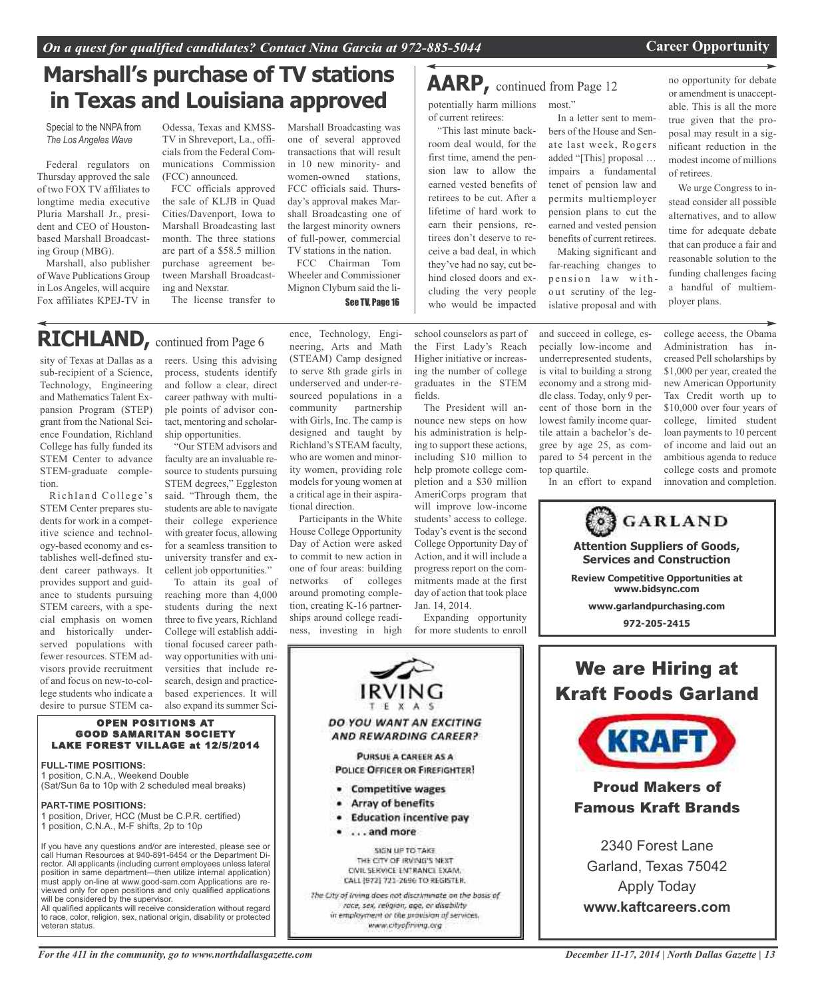## **Marshall's purchase of TV stations**  $\overrightarrow{AARP}$ , continued from Page 12 **in Texas and Louisiana approved**

Special to the NNPA from *The Los Angeles Wave*

Federal regulators on Thursday approved the sale of two FOX TV affiliates to longtime media executive Pluria Marshall Jr., president and CEO of Houstonbased Marshall Broadcasting Group (MBG).

Marshall, also publisher of Wave Publications Group in Los Angeles, will acquire Fox affiliates KPEJ-TV in

Odessa, Texas and KMSS-TV in Shreveport, La., officials from the Federal Communications Commission (FCC) announced.

FCC officials approved the sale of KLJB in Quad Cities/Davenport, Iowa to Marshall Broadcasting last month. The three stations are part of a \$58.5 million purchase agreement between Marshall Broadcasting and Nexstar.

The license transfer to

## **RICHLAND,** continued from Page <sup>6</sup>

sity of Texas at Dallas as a sub-recipient of a Science, Technology, Engineering and Mathematics Talent Expansion Program (STEP) grant from the National Science Foundation, Richland College has fully funded its STEM Center to advance STEM-graduate completion.

Richland College's STEM Center prepares students for work in a competitive science and technology-based economy and establishes well-defined student career pathways. It provides support and guidance to students pursuing STEM careers, with a special emphasis on women and historically underserved populations with fewer resources. STEM advisors provide recruitment of and focus on new-to-college students who indicate a desire to pursue STEM careers. Using this advising process, students identify and follow a clear, direct career pathway with multiple points of advisor contact, mentoring and scholarship opportunities.

"Our STEM advisors and faculty are an invaluable resource to students pursuing STEM degrees," Eggleston said. "Through them, the students are able to navigate their college experience with greater focus, allowing for a seamless transition to university transfer and excellent job opportunities."

To attain its goal of reaching more than 4,000 students during the next three to five years, Richland College will establish additional focused career pathway opportunities with universities that include research, design and practicebased experiences. It will also expand its summer Sci-

#### OPEN POSITIONS AT GOOD SAMARITAN SOCIETY LAKE FOREST VILLAGE at 12/5/2014

#### **FULL-TIME POSITIONS:**

1 position, C.N.A., Weekend Double (Sat/Sun 6a to 10p with 2 scheduled meal breaks)

#### **PART-TIME POSITIONS:**

1 position, Driver, HCC (Must be C.P.R. certified) 1 position, C.N.A., M-F shifts, 2p to 10p

If you have any questions and/or are interested, please see or call Human Resources at 940-891-6454 or the Department Director. All applicants (including current employees unless lateral position in same department—then utilize internal application) must apply on-line at www.good-sam.com Applications are reviewed only for open positions and only qualified applications will be considered by the supervisor.

All qualified applicants will receive consideration without regard to race, color, religion, sex, national origin, disability or protected veteran status.

ence, Technology, Engineering, Arts and Math (STEAM) Camp designed to serve 8th grade girls in underserved and under-resourced populations in a community partnership with Girls, Inc. The camp is designed and taught by Richland's STEAM faculty, school counselors as part of FCC Chairman Tom Wheeler and Commissioner Mignon Clyburn said the li-See TV, Page 16

who are women and minority women, providing role models for young women at a critical age in their aspira-

Marshall Broadcasting was one of several approved transactions that will result in 10 new minority- and women-owned stations, FCC officials said. Thursday's approval makes Marshall Broadcasting one of the largest minority owners of full-power, commercial TV stations in the nation.

Participants in the White House College Opportunity Day of Action were asked to commit to new action in one of four areas: building networks of colleges around promoting completion, creating K-16 partnerships around college readiness, investing in high

tional direction.

the First Lady's Reach Higher initiative or increasing the number of college graduates in the STEM fields. The President will an-

potentially harm millions most."

"This last minute backroom deal would, for the first time, amend the pension law to allow the earned vested benefits of retirees to be cut. After a lifetime of hard work to earn their pensions, retirees don't deserve to receive a bad deal, in which they've had no say, cut behind closed doors and excluding the very people who would be impacted

of current retirees:

nounce new steps on how his administration is helping to support these actions, including \$10 million to help promote college completion and a \$30 million AmeriCorps program that will improve low-income students' access to college. Today's event is the second College Opportunity Day of Action, and it will include a progress report on the commitments made at the first day of action that took place Jan. 14, 2014.

Expanding opportunity for more students to enroll



ate last week, Rogers added "[This] proposal … impairs a fundamental tenet of pension law and permits multiemployer pension plans to cut the earned and vested pension benefits of current retirees. Making significant and far-reaching changes to pension law without scrutiny of the leg-

In a letter sent to members of the House and Sen-

and succeed in college, especially low-income and underrepresented students, is vital to building a strong economy and a strong middle class. Today, only 9 percent of those born in the lowest family income quartile attain a bachelor's degree by age 25, as compared to 54 percent in the

islative proposal and with

no opportunity for debate or amendment is unacceptable. This is all the more true given that the proposal may result in a significant reduction in the modest income of millions of retirees.

We urge Congress to instead consider all possible alternatives, and to allow time for adequate debate that can produce a fair and reasonable solution to the funding challenges facing a handful of multiemployer plans.

college access, the Obama Administration has increased Pell scholarships by \$1,000 per year, created the new American Opportunity Tax Credit worth up to \$10,000 over four years of college, limited student loan payments to 10 percent of income and laid out an ambitious agenda to reduce college costs and promote innovation and completion.

In an effort to expand

top quartile.

**GARLAND Attention Suppliers of Goods, Services and Construction Review Competitive Opportunities at www.bidsync.com www.garlandpurchasing.com**

**972-205-2415**



**www.kaftcareers.com**

*For the 411 in the community, go to www.northdallasgazette.com*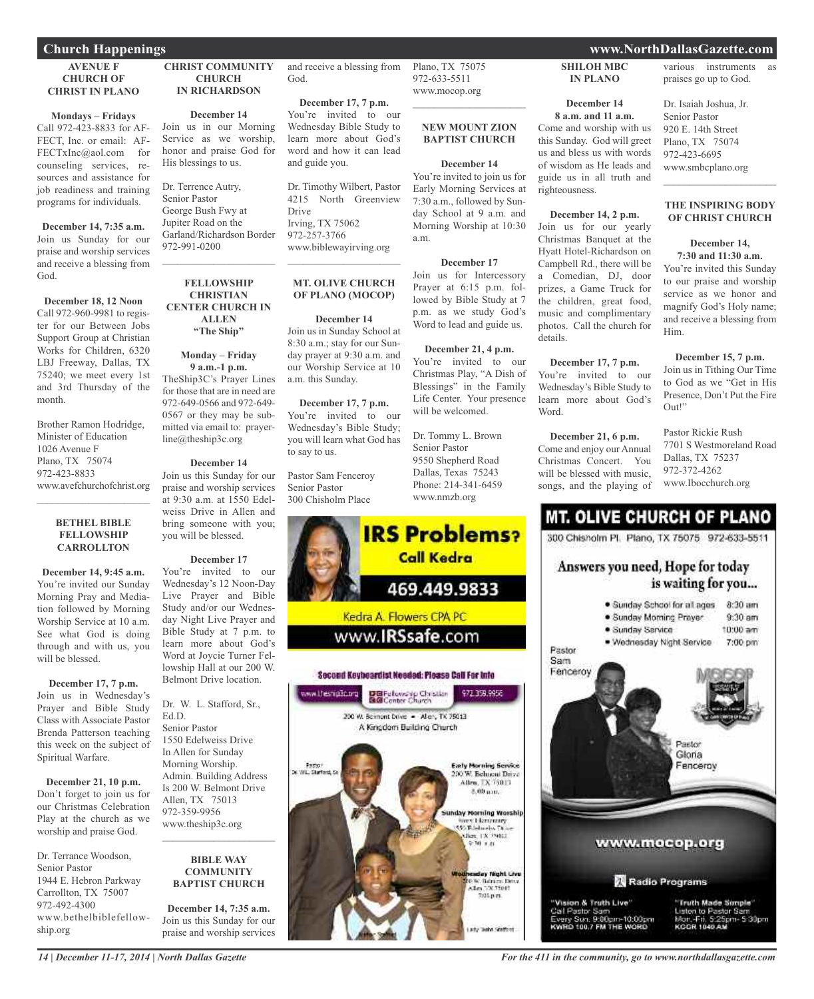#### **AVENUE F CHURCH OF CHRIST IN PLANO**

#### **Mondays – Fridays** Call 972-423-8833 for AF-FECT, Inc. or email: AF-

FECTxInc@aol.com for counseling services, resources and assistance for job readiness and training programs for individuals.

**December 14, 7:35 a.m.** Join us Sunday for our praise and worship services and receive a blessing from God.

#### **December 18, 12 Noon** Call 972-960-9981 to register for our Between Jobs Support Group at Christian Works for Children, 6320 LBJ Freeway, Dallas, TX 75240; we meet every 1st and 3rd Thursday of the

Brother Ramon Hodridge, Minister of Education 1026 Avenue F Plano, TX 75074 972-423-8833 www.avefchurchofchrist.org

month.

#### **BETHEL BIBLE FELLOWSHIP CARROLLTON**

 $\mathcal{L}_\text{max}$  and  $\mathcal{L}_\text{max}$  and  $\mathcal{L}_\text{max}$ 

**December 14, 9:45 a.m.** You're invited our Sunday Morning Pray and Mediation followed by Morning Worship Service at 10 a.m. See what God is doing through and with us, you will be blessed.

#### **December 17, 7 p.m.**

Join us in Wednesday's Prayer and Bible Study Class with Associate Pastor Brenda Patterson teaching this week on the subject of Spiritual Warfare.

#### **December 21, 10 p.m.** Don't forget to join us for our Christmas Celebration Play at the church as we worship and praise God.

Dr. Terrance Woodson, Senior Pastor 1944 E. Hebron Parkway Carrollton, TX 75007 972-492-4300 www.bethelbiblefellowship.org

#### **CHRIST COMMUNITY CHURCH IN RICHARDSON**

**December 14** Join us in our Morning Service as we worship, honor and praise God for His blessings to us.

Dr. Terrence Autry, Senior Pastor George Bush Fwy at Jupiter Road on the Garland/Richardson Border 972-991-0200

#### **FELLOWSHIP CHRISTIAN CENTER CHURCH IN ALLEN "The Ship"**

 $\mathcal{L}_\text{max}$  , which is a set of the set of the set of the set of the set of the set of the set of the set of the set of the set of the set of the set of the set of the set of the set of the set of the set of the set of

#### **Monday – Friday**

**9 a.m.-1 p.m.** TheShip3C's Prayer Lines for those that are in need are 972-649-0566 and 972-649- 0567 or they may be submitted via email to: prayerline@theship3c.org

#### **December 14**

Join us this Sunday for our praise and worship services at 9:30 a.m. at 1550 Edelweiss Drive in Allen and bring someone with you; you will be blessed.

#### **December 17**

You're invited to our Wednesday's 12 Noon-Day Live Prayer and Bible Study and/or our Wednesday Night Live Prayer and Bible Study at 7 p.m. to learn more about God's Word at Joycie Turner Fellowship Hall at our 200 W. Belmont Drive location.

Dr. W. L. Stafford, Sr., Ed.D. Senior Pastor 1550 Edelweiss Drive In Allen for Sunday Morning Worship. Admin. Building Address Is 200 W. Belmont Drive Allen, TX 75013 972-359-9956 www.theship3c.org

#### **BIBLE WAY COMMUNITY BAPTIST CHURCH**

 $\mathcal{L}_\text{max}$  and  $\mathcal{L}_\text{max}$  and  $\mathcal{L}_\text{max}$ 

**December 14, 7:35 a.m.** Join us this Sunday for our praise and worship services and receive a blessing from God.

**December 17, 7 p.m.** You're invited to our Wednesday Bible Study to learn more about God's word and how it can lead and guide you.

Dr. Timothy Wilbert, Pastor 4215 North Greenview Drive Irving, TX 75062 972-257-3766 www.biblewayirving.org

 $\overline{\phantom{a}}$  , and the set of the set of the set of the set of the set of the set of the set of the set of the set of the set of the set of the set of the set of the set of the set of the set of the set of the set of the s

#### **MT. OLIVE CHURCH OF PLANO (MOCOP)**

#### **December 14**

Join us in Sunday School at 8:30 a.m.; stay for our Sunday prayer at 9:30 a.m. and our Worship Service at 10 a.m. this Sunday.

**December 17, 7 p.m.** You're invited to our Wednesday's Bible Study; you will learn what God has to say to us.

Pastor Sam Fenceroy Senior Pastor 300 Chisholm Place

www.thesnip.com

**Demoti** V.WL: Station 1



### **NEW MOUNT ZION BAPTIST CHURCH**

#### **December 14**

You're invited to join us for Early Morning Services at 7:30 a.m., followed by Sunday School at 9 a.m. and Morning Worship at 10:30 a.m.

#### **December 17**

Join us for Intercessory Prayer at 6:15 p.m. followed by Bible Study at 7 p.m. as we study God's Word to lead and guide us.

#### **December 21, 4 p.m.**

You're invited to our Christmas Play, "A Dish of Blessings" in the Family Life Center. Your presence will be welcomed.

Dr. Tommy L. Brown Senior Pastor 9550 Shepherd Road Dallas, Texas 75243 Phone: 214-341-6459 www.nmzb.org

**IRS Problems?** 

469.449.9833

972.359.9956

**Early Morning Service** 

200 W. Behneni Drive Allen, TX 75013 5.00 p.m.

day Morning Worshi North Licenstery<br>550 Edelmeios Dion ulian, ISBN 974822<br><mark>|</mark> SPM| 1-81

> day Night Live NOR: Barrieri Dirva<br>Alan (1963)<br>2015 p.m.

**Call Kedra** 

Kedra A. Flowers CPA PC

www.**IRSsafe.com** 

Second Keybeardist Needed: Please Call For Info

DBFelowskip Christian<br>BGConter Church

200 W. Bernont Dove - Allen, TX 75013 A Kingdom Building Church



#### **December 14 8 a.m. and 11 a.m.**

Come and worship with us this Sunday. God will greet us and bless us with words of wisdom as He leads and guide us in all truth and righteousness.

#### **December 14, 2 p.m.**

Join us for our yearly Christmas Banquet at the Hyatt Hotel-Richardson on Campbell Rd., there will be a Comedian, DJ, door prizes, a Game Truck for the children, great food, music and complimentary photos. Call the church for details.

### **December 17, 7 p.m.**

You're invited to our Wednesday's Bible Study to learn more about God's Word.

**December 21, 6 p.m.** Come and enjoy our Annual Christmas Concert. You will be blessed with music, songs, and the playing of

various instruments as praises go up to God.

Dr. Isaiah Joshua, Jr. Senior Pastor 920 E. 14th Street Plano, TX 75074 972-423-6695 www.smbcplano.org

#### **THE INSPIRING BODY OF CHRIST CHURCH**

 $\mathcal{L}=\mathcal{L}^{\mathcal{L}}$  , where  $\mathcal{L}^{\mathcal{L}}$  , we have the set of the set of the set of the set of the set of the set of the set of the set of the set of the set of the set of the set of the set of the set of the set of

#### **December 14, 7:30 and 11:30 a.m.**

You're invited this Sunday to our praise and worship service as we honor and magnify God's Holy name; and receive a blessing from Him.

#### **December 15, 7 p.m.** Join us in Tithing Our Time to God as we "Get in His Presence, Don't Put the Fire Out!"

Pastor Rickie Rush 7701 S Westmoreland Road Dallas, TX 75237 972-372-4262 www.Ibocchurch.org

## MT. OLIVE CHURCH OF PLANO

300 Chisholm Pl. Plano, TX 75075 972-633-5511

### Answers you need, Hope for today is waiting for you...



*14 | December 11-17, 2014 | North Dallas Gazette*

*For the 411 in the community, go to www.northdallasgazette.com*

#### **Church Happenings www.NorthDallasGazette.com**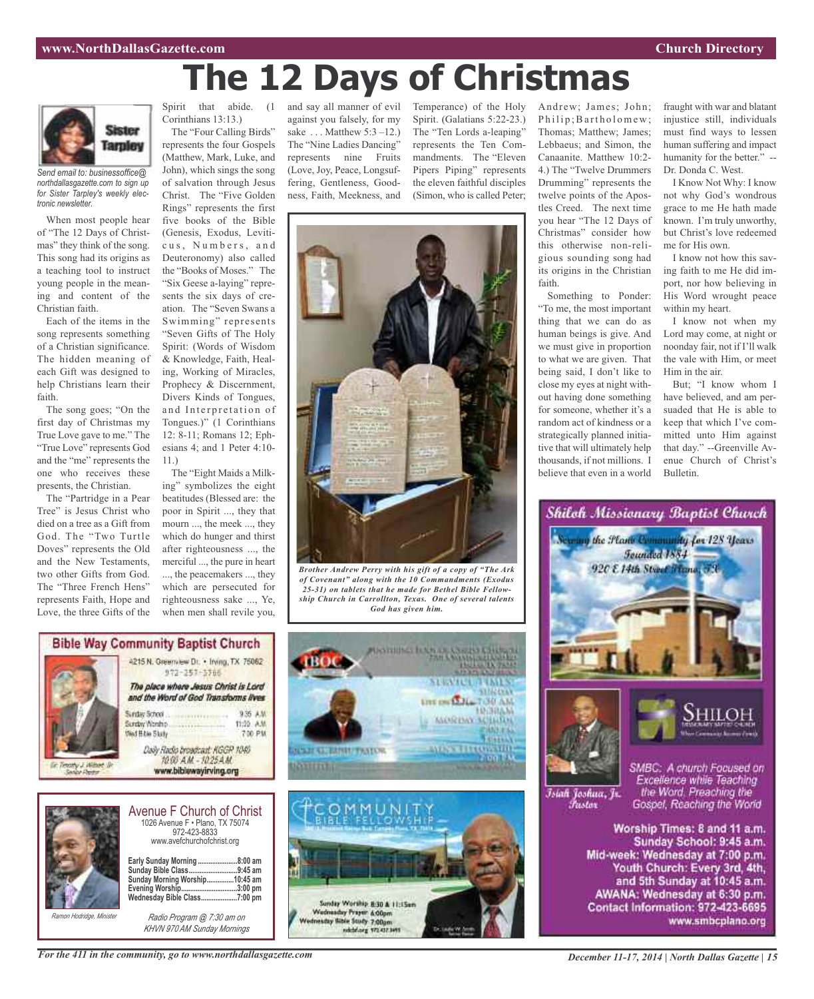# **The 12 Days of Christmas**



*Send email to: businessoffice@ northdallasgazette.com to sign up for Sister Tarpley's weekly electronic newsletter.*

When most people hear of "The 12 Days of Christmas" they think of the song. This song had its origins as a teaching tool to instruct young people in the meaning and content of the Christian faith.

Each of the items in the song represents something of a Christian significance. The hidden meaning of each Gift was designed to help Christians learn their faith.

The song goes; "On the first day of Christmas my True Love gave to me." The "True Love" represents God and the "me" represents the one who receives these presents, the Christian.

The "Partridge in a Pear Tree" is Jesus Christ who died on a tree as a Gift from God. The "Two Turtle Doves" represents the Old and the New Testaments, two other Gifts from God. The "Three French Hens" represents Faith, Hope and Love, the three Gifts of the Spirit that abide. (1 Corinthians 13:13.)

The "Four Calling Birds" represents the four Gospels (Matthew, Mark, Luke, and John), which sings the song of salvation through Jesus Christ. The "Five Golden Rings" represents the first five books of the Bible (Genesis, Exodus, Leviticus, Numbers, and Deuteronomy) also called the "Books of Moses." The "Six Geese a-laying" represents the six days of creation. The "Seven Swans a Swimming" represents "Seven Gifts of The Holy Spirit: (Words of Wisdom & Knowledge, Faith, Healing, Working of Miracles, Prophecy & Discernment, Divers Kinds of Tongues, and Interpretation of Tongues.)" (1 Corinthians 12: 8-11; Romans 12; Ephesians 4; and 1 Peter 4:10- 11.)

The "Eight Maids a Milking" symbolizes the eight beatitudes (Blessed are: the poor in Spirit ..., they that mourn ..., the meek ..., they which do hunger and thirst after righteousness ..., the merciful ..., the pure in heart ..., the peacemakers ..., they which are persecuted for righteousness sake ..., Ye, when men shall revile you,

and say all manner of evil against you falsely, for my sake . . . Matthew 5:3 –12.) The "Nine Ladies Dancing" represents nine Fruits (Love, Joy, Peace, Longsuffering, Gentleness, Goodness, Faith, Meekness, and

Temperance) of the Holy Spirit. (Galatians 5:22-23.) The "Ten Lords a-leaping" represents the Ten Commandments. The "Eleven Pipers Piping" represents the eleven faithful disciples (Simon, who is called Peter;



*Brother Andrew Perry with his gift of a copy of "The Ark of Covenant" along with the 10 Commandments (Exodus 25-31) on tablets that he made for Bethel Bible Fellowship Church in Carrollton, Texas. One of several talents God has given him.*

**SERVICE** 





|                          | <b>Avenue F Church of Christ</b><br>1026 Avenue F · Plano, TX 75074<br>972-423-8833<br>www.avefchurchofchrist.org               |                                  |
|--------------------------|---------------------------------------------------------------------------------------------------------------------------------|----------------------------------|
|                          | Early Sunday Morning<br>Sunday Bible Class9:45 am<br>Sunday Morning Worship10:45 am<br>Evening Worship<br>Wednesday Bible Class | .8:00 am<br>.3:00 pm<br>.7:00 pm |
| Ramon Hodridge, Minister | Radio Program @ 7:30 am on                                                                                                      |                                  |

*For the 411 in the community, go to www.northdallasgazette.com*

*Radio Program @ 7:30 am on KHVN 970 AM Sunday Mornings*



Sunday Worship 8:30 & 11:15am Wednesday Prayer & Oppm Inestity Bible Study 7,00gm

Andrew; James; John; Philip; Bartholomew; Thomas; Matthew; James; Lebbaeus; and Simon, the Canaanite. Matthew 10:2- 4.) The "Twelve Drummers Drumming" represents the twelve points of the Apostles Creed. The next time you hear "The 12 Days of Christmas" consider how this otherwise non-religious sounding song had its origins in the Christian faith.

Something to Ponder: "To me, the most important thing that we can do as human beings is give. And we must give in proportion to what we are given. That being said, I don't like to close my eyes at night without having done something for someone, whether it's a random act of kindness or a strategically planned initiative that will ultimately help thousands, if not millions. I believe that even in a world

fraught with war and blatant injustice still, individuals must find ways to lessen human suffering and impact humanity for the better." -- Dr. Donda C. West.

I Know Not Why: I know not why God's wondrous grace to me He hath made known. I'm truly unworthy, but Christ's love redeemed me for His own.

I know not how this saving faith to me He did import, nor how believing in His Word wrought peace within my heart.

I know not when my Lord may come, at night or noonday fair, not if I'll walk the vale with Him, or meet Him in the air.

But; "I know whom I have believed, and am persuaded that He is able to keep that which I've committed unto Him against that day." --Greenville Avenue Church of Christ's Bulletin.



Mid-week: Wednesday at 7:00 p.m. Youth Church: Every 3rd, 4th, and 5th Sunday at 10:45 a.m. AWANA: Wednesday at 6:30 p.m. Contact Information: 972-423-6695 www.smbcplano.org